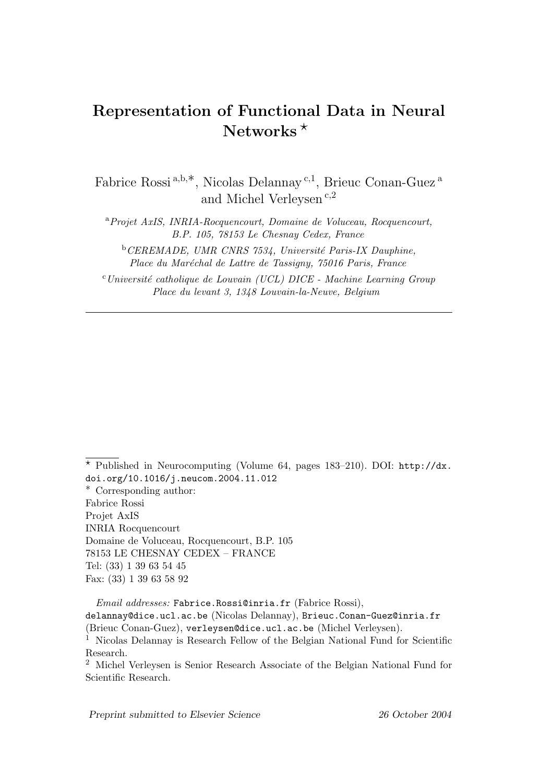# Representation of Functional Data in Neural Networks $*$

Fabrice Rossi <sup>a</sup>,b,∗, Nicolas Delannay <sup>c</sup>,<sup>1</sup> , Brieuc Conan-Guez <sup>a</sup> and Michel Verleysen $^{\mathrm{c},2}$ 

<sup>a</sup>Projet AxIS, INRIA-Rocquencourt, Domaine de Voluceau, Rocquencourt, B.P. 105, 78153 Le Chesnay Cedex, France

 $b$  CEREMADE, UMR CNRS 7534, Université Paris-IX Dauphine, Place du Maréchal de Lattre de Tassigny, 75016 Paris, France

 $c$ Université catholique de Louvain (UCL) DICE - Machine Learning Group Place du levant 3, 1348 Louvain-la-Neuve, Belgium

 $\star$  Published in Neurocomputing (Volume 64, pages 183–210). DOI: http://dx. doi.org/10.1016/j.neucom.2004.11.012 ∗ Corresponding author: Fabrice Rossi Projet AxIS INRIA Rocquencourt Domaine de Voluceau, Rocquencourt, B.P. 105 78153 LE CHESNAY CEDEX – FRANCE Tel: (33) 1 39 63 54 45 Fax: (33) 1 39 63 58 92

Email addresses: Fabrice.Rossi@inria.fr (Fabrice Rossi), delannay@dice.ucl.ac.be (Nicolas Delannay), Brieuc.Conan-Guez@inria.fr (Brieuc Conan-Guez), verleysen@dice.ucl.ac.be (Michel Verleysen). <sup>1</sup> Nicolas Delannay is Research Fellow of the Belgian National Fund for Scientific Research.

<sup>2</sup> Michel Verleysen is Senior Research Associate of the Belgian National Fund for Scientific Research.

Preprint submitted to Elsevier Science 26 October 2004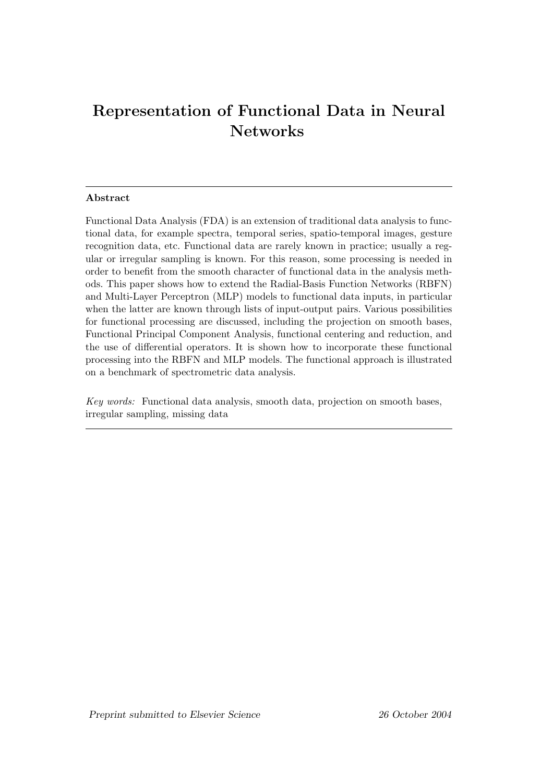# Representation of Functional Data in Neural Networks

# Abstract

Functional Data Analysis (FDA) is an extension of traditional data analysis to functional data, for example spectra, temporal series, spatio-temporal images, gesture recognition data, etc. Functional data are rarely known in practice; usually a regular or irregular sampling is known. For this reason, some processing is needed in order to benefit from the smooth character of functional data in the analysis methods. This paper shows how to extend the Radial-Basis Function Networks (RBFN) and Multi-Layer Perceptron (MLP) models to functional data inputs, in particular when the latter are known through lists of input-output pairs. Various possibilities for functional processing are discussed, including the projection on smooth bases, Functional Principal Component Analysis, functional centering and reduction, and the use of differential operators. It is shown how to incorporate these functional processing into the RBFN and MLP models. The functional approach is illustrated on a benchmark of spectrometric data analysis.

Key words: Functional data analysis, smooth data, projection on smooth bases, irregular sampling, missing data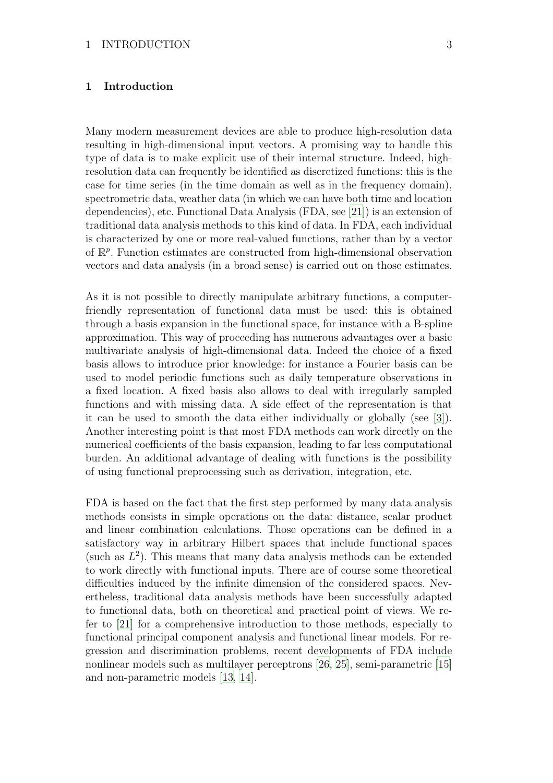# 1 Introduction

Many modern measurement devices are able to produce high-resolution data resulting in high-dimensional input vectors. A promising way to handle this type of data is to make explicit use of their internal structure. Indeed, highresolution data can frequently be identified as discretized functions: this is the case for time series (in the time domain as well as in the frequency domain), spectrometric data, weather data (in which we can have both time and location dependencies), etc. Functional Data Analysis (FDA, see [\[21\]](#page-27-0)) is an extension of traditional data analysis methods to this kind of data. In FDA, each individual is characterized by one or more real-valued functions, rather than by a vector of  $\mathbb{R}^p$ . Function estimates are constructed from high-dimensional observation vectors and data analysis (in a broad sense) is carried out on those estimates.

As it is not possible to directly manipulate arbitrary functions, a computerfriendly representation of functional data must be used: this is obtained through a basis expansion in the functional space, for instance with a B-spline approximation. This way of proceeding has numerous advantages over a basic multivariate analysis of high-dimensional data. Indeed the choice of a fixed basis allows to introduce prior knowledge: for instance a Fourier basis can be used to model periodic functions such as daily temperature observations in a fixed location. A fixed basis also allows to deal with irregularly sampled functions and with missing data. A side effect of the representation is that it can be used to smooth the data either individually or globally (see [\[3](#page-26-0)]). Another interesting point is that most FDA methods can work directly on the numerical coefficients of the basis expansion, leading to far less computational burden. An additional advantage of dealing with functions is the possibility of using functional preprocessing such as derivation, integration, etc.

FDA is based on the fact that the first step performed by many data analysis methods consists in simple operations on the data: distance, scalar product and linear combination calculations. Those operations can be defined in a satisfactory way in arbitrary Hilbert spaces that include functional spaces (such as  $L^2$ ). This means that many data analysis methods can be extended to work directly with functional inputs. There are of course some theoretical difficulties induced by the infinite dimension of the considered spaces. Nevertheless, traditional data analysis methods have been successfully adapted to functional data, both on theoretical and practical point of views. We refer to [\[21](#page-27-0)] for a comprehensive introduction to those methods, especially to functional principal component analysis and functional linear models. For regression and discrimination problems, recent developments of FDA include nonlinear models such as multilayer perceptrons [\[26](#page-27-1), [25\]](#page-27-2), semi-parametric [\[15](#page-26-1)] and non-parametric models [\[13](#page-26-2), [14\]](#page-26-3).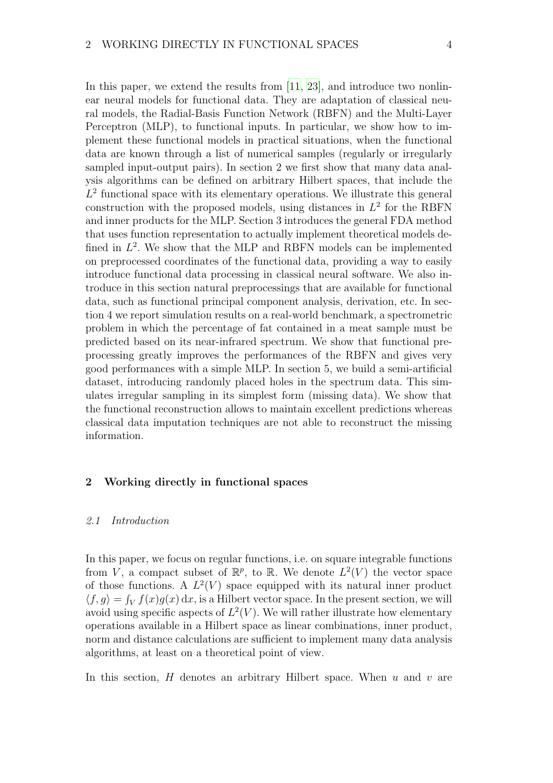In this paper, we extend the results from [\[11](#page-26-4), [23](#page-27-3)], and introduce two nonlinear neural models for functional data. They are adaptation of classical neural models, the Radial-Basis Function Network (RBFN) and the Multi-Layer Perceptron (MLP), to functional inputs. In particular, we show how to implement these functional models in practical situations, when the functional data are known through a list of numerical samples (regularly or irregularly sampled input-output pairs). In section 2 we first show that many data analysis algorithms can be defined on arbitrary Hilbert spaces, that include the  $L<sup>2</sup>$  functional space with its elementary operations. We illustrate this general construction with the proposed models, using distances in  $L^2$  for the RBFN and inner products for the MLP. Section 3 introduces the general FDA method that uses function representation to actually implement theoretical models defined in  $L^2$ . We show that the MLP and RBFN models can be implemented on preprocessed coordinates of the functional data, providing a way to easily introduce functional data processing in classical neural software. We also introduce in this section natural preprocessings that are available for functional data, such as functional principal component analysis, derivation, etc. In section 4 we report simulation results on a real-world benchmark, a spectrometric problem in which the percentage of fat contained in a meat sample must be predicted based on its near-infrared spectrum. We show that functional preprocessing greatly improves the performances of the RBFN and gives very good performances with a simple MLP. In section 5, we build a semi-artificial dataset, introducing randomly placed holes in the spectrum data. This simulates irregular sampling in its simplest form (missing data). We show that the functional reconstruction allows to maintain excellent predictions whereas classical data imputation techniques are not able to reconstruct the missing information.

# 2 Working directly in functional spaces

#### 2.1 Introduction

In this paper, we focus on regular functions, i.e. on square integrable functions from V, a compact subset of  $\mathbb{R}^p$ , to  $\mathbb{R}$ . We denote  $L^2(V)$  the vector space of those functions. A  $L^2(V)$  space equipped with its natural inner product  $\langle f, g \rangle = \int_V f(x)g(x) dx$ , is a Hilbert vector space. In the present section, we will avoid using specific aspects of  $L^2(V)$ . We will rather illustrate how elementary operations available in a Hilbert space as linear combinations, inner product, norm and distance calculations are sufficient to implement many data analysis algorithms, at least on a theoretical point of view.

In this section,  $H$  denotes an arbitrary Hilbert space. When  $u$  and  $v$  are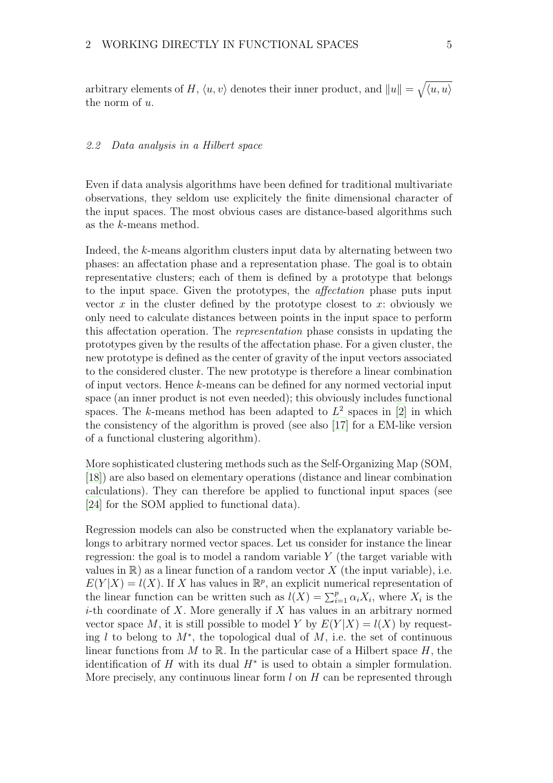#### 2.2 Data analysis in a Hilbert space

Even if data analysis algorithms have been defined for traditional multivariate observations, they seldom use explicitely the finite dimensional character of the input spaces. The most obvious cases are distance-based algorithms such as the k-means method.

Indeed, the k-means algorithm clusters input data by alternating between two phases: an affectation phase and a representation phase. The goal is to obtain representative clusters; each of them is defined by a prototype that belongs to the input space. Given the prototypes, the affectation phase puts input vector x in the cluster defined by the prototype closest to x: obviously we only need to calculate distances between points in the input space to perform this affectation operation. The representation phase consists in updating the prototypes given by the results of the affectation phase. For a given cluster, the new prototype is defined as the center of gravity of the input vectors associated to the considered cluster. The new prototype is therefore a linear combination of input vectors. Hence k-means can be defined for any normed vectorial input space (an inner product is not even needed); this obviously includes functional spaces. The k-means method has been adapted to  $L^2$  spaces in [\[2\]](#page-25-0) in which the consistency of the algorithm is proved (see also [\[17\]](#page-26-5) for a EM-like version of a functional clustering algorithm).

More sophisticated clustering methods such as the Self-Organizing Map (SOM, [\[18\]](#page-27-4)) are also based on elementary operations (distance and linear combination calculations). They can therefore be applied to functional input spaces (see [\[24\]](#page-27-5) for the SOM applied to functional data).

Regression models can also be constructed when the explanatory variable belongs to arbitrary normed vector spaces. Let us consider for instance the linear regression: the goal is to model a random variable  $Y$  (the target variable with values in  $\mathbb{R}$ ) as a linear function of a random vector X (the input variable), i.e.  $E(Y|X) = l(X)$ . If X has values in  $\mathbb{R}^p$ , an explicit numerical representation of the linear function can be written such as  $l(X) = \sum_{i=1}^{p} \alpha_i X_i$ , where  $X_i$  is the  $i$ -th coordinate of X. More generally if X has values in an arbitrary normed vector space M, it is still possible to model Y by  $E(Y|X) = l(X)$  by requesting l to belong to  $M^*$ , the topological dual of M, i.e. the set of continuous linear functions from M to R. In the particular case of a Hilbert space  $H$ , the identification of  $H$  with its dual  $H^*$  is used to obtain a simpler formulation. More precisely, any continuous linear form  $l$  on  $H$  can be represented through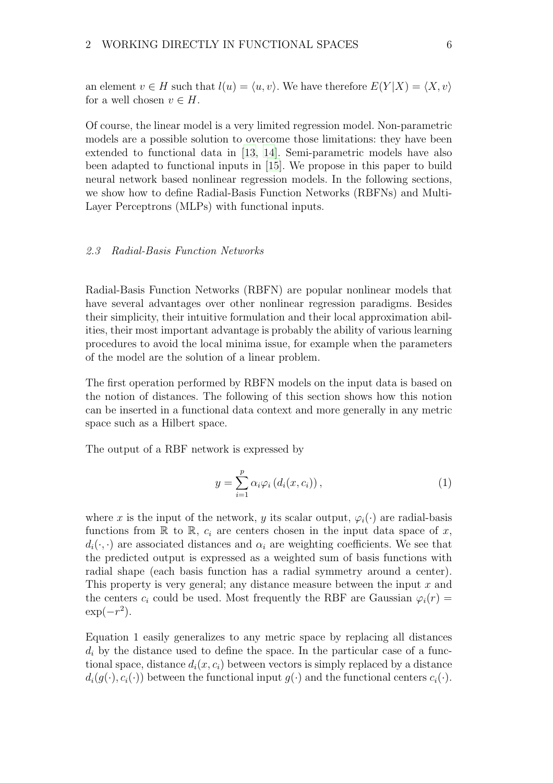an element  $v \in H$  such that  $l(u) = \langle u, v \rangle$ . We have therefore  $E(Y | X) = \langle X, v \rangle$ for a well chosen  $v \in H$ .

Of course, the linear model is a very limited regression model. Non-parametric models are a possible solution to overcome those limitations: they have been extended to functional data in [\[13,](#page-26-2) [14](#page-26-3)]. Semi-parametric models have also been adapted to functional inputs in [\[15](#page-26-1)]. We propose in this paper to build neural network based nonlinear regression models. In the following sections, we show how to define Radial-Basis Function Networks (RBFNs) and Multi-Layer Perceptrons (MLPs) with functional inputs.

# 2.3 Radial-Basis Function Networks

Radial-Basis Function Networks (RBFN) are popular nonlinear models that have several advantages over other nonlinear regression paradigms. Besides their simplicity, their intuitive formulation and their local approximation abilities, their most important advantage is probably the ability of various learning procedures to avoid the local minima issue, for example when the parameters of the model are the solution of a linear problem.

The first operation performed by RBFN models on the input data is based on the notion of distances. The following of this section shows how this notion can be inserted in a functional data context and more generally in any metric space such as a Hilbert space.

The output of a RBF network is expressed by

$$
y = \sum_{i=1}^{p} \alpha_i \varphi_i \left( d_i(x, c_i) \right), \tag{1}
$$

where x is the input of the network, y its scalar output,  $\varphi_i(\cdot)$  are radial-basis functions from  $\mathbb R$  to  $\mathbb R$ ,  $c_i$  are centers chosen in the input data space of x,  $d_i(\cdot, \cdot)$  are associated distances and  $\alpha_i$  are weighting coefficients. We see that the predicted output is expressed as a weighted sum of basis functions with radial shape (each basis function has a radial symmetry around a center). This property is very general; any distance measure between the input  $x$  and the centers  $c_i$  could be used. Most frequently the RBF are Gaussian  $\varphi_i(r)$  =  $\exp(-r^2)$ .

Equation 1 easily generalizes to any metric space by replacing all distances  $d_i$  by the distance used to define the space. In the particular case of a functional space, distance  $d_i(x, c_i)$  between vectors is simply replaced by a distance  $d_i(q(\cdot),c_i(\cdot))$  between the functional input  $q(\cdot)$  and the functional centers  $c_i(\cdot)$ .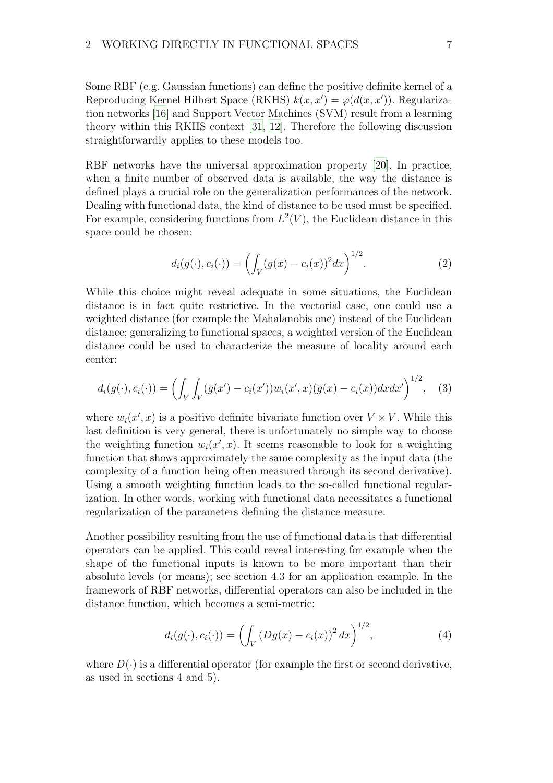Some RBF (e.g. Gaussian functions) can define the positive definite kernel of a Reproducing Kernel Hilbert Space (RKHS)  $k(x, x') = \varphi(d(x, x'))$ . Regularization networks [\[16\]](#page-26-6) and Support Vector Machines (SVM) result from a learning theory within this RKHS context [\[31,](#page-27-6) [12\]](#page-26-7). Therefore the following discussion straightforwardly applies to these models too.

RBF networks have the universal approximation property [\[20](#page-27-7)]. In practice, when a finite number of observed data is available, the way the distance is defined plays a crucial role on the generalization performances of the network. Dealing with functional data, the kind of distance to be used must be specified. For example, considering functions from  $L^2(V)$ , the Euclidean distance in this space could be chosen:

$$
d_i(g(\cdot), c_i(\cdot)) = \left(\int_V (g(x) - c_i(x))^2 dx\right)^{1/2}.
$$
 (2)

While this choice might reveal adequate in some situations, the Euclidean distance is in fact quite restrictive. In the vectorial case, one could use a weighted distance (for example the Mahalanobis one) instead of the Euclidean distance; generalizing to functional spaces, a weighted version of the Euclidean distance could be used to characterize the measure of locality around each center:

$$
d_i(g(\cdot), c_i(\cdot)) = \left(\int_V \int_V (g(x') - c_i(x')) w_i(x', x) (g(x) - c_i(x)) dx dx'\right)^{1/2}, \quad (3)
$$

where  $w_i(x', x)$  is a positive definite bivariate function over  $V \times V$ . While this last definition is very general, there is unfortunately no simple way to choose the weighting function  $w_i(x', x)$ . It seems reasonable to look for a weighting function that shows approximately the same complexity as the input data (the complexity of a function being often measured through its second derivative). Using a smooth weighting function leads to the so-called functional regularization. In other words, working with functional data necessitates a functional regularization of the parameters defining the distance measure.

Another possibility resulting from the use of functional data is that differential operators can be applied. This could reveal interesting for example when the shape of the functional inputs is known to be more important than their absolute levels (or means); see section 4.3 for an application example. In the framework of RBF networks, differential operators can also be included in the distance function, which becomes a semi-metric:

$$
d_i(g(\cdot), c_i(\cdot)) = \left(\int_V (Dg(x) - c_i(x))^2 dx\right)^{1/2},\tag{4}
$$

where  $D(\cdot)$  is a differential operator (for example the first or second derivative, as used in sections 4 and 5).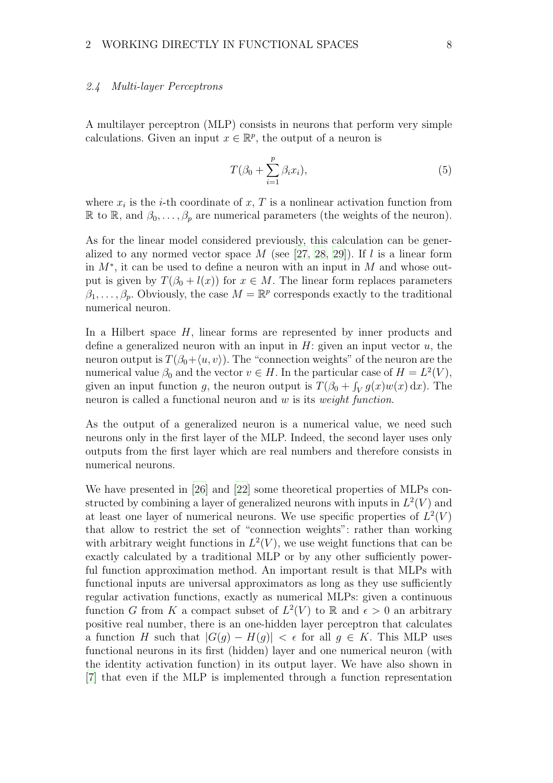## 2.4 Multi-layer Perceptrons

A multilayer perceptron (MLP) consists in neurons that perform very simple calculations. Given an input  $x \in \mathbb{R}^p$ , the output of a neuron is

$$
T(\beta_0 + \sum_{i=1}^p \beta_i x_i), \tag{5}
$$

where  $x_i$  is the *i*-th coordinate of  $x$ ,  $T$  is a nonlinear activation function from R to R, and  $\beta_0, \ldots, \beta_p$  are numerical parameters (the weights of the neuron).

As for the linear model considered previously, this calculation can be generalized to any normed vector space  $M$  (see [\[27,](#page-27-8) [28](#page-27-9), [29](#page-27-10)]). If l is a linear form in M<sup>∗</sup> , it can be used to define a neuron with an input in M and whose output is given by  $T(\beta_0 + l(x))$  for  $x \in M$ . The linear form replaces parameters  $\beta_1, \ldots, \beta_p$ . Obviously, the case  $M = \mathbb{R}^p$  corresponds exactly to the traditional numerical neuron.

In a Hilbert space  $H$ , linear forms are represented by inner products and define a generalized neuron with an input in  $H$ : given an input vector  $u$ , the neuron output is  $T(\beta_0+\langle u,v\rangle)$ . The "connection weights" of the neuron are the numerical value  $\beta_0$  and the vector  $v \in H$ . In the particular case of  $H = L^2(V)$ , given an input function g, the neuron output is  $T(\beta_0 + \int_V g(x)w(x) dx)$ . The neuron is called a functional neuron and  $w$  is its *weight function*.

As the output of a generalized neuron is a numerical value, we need such neurons only in the first layer of the MLP. Indeed, the second layer uses only outputs from the first layer which are real numbers and therefore consists in numerical neurons.

We have presented in [\[26](#page-27-1)] and [\[22](#page-27-11)] some theoretical properties of MLPs constructed by combining a layer of generalized neurons with inputs in  $L^2(V)$  and at least one layer of numerical neurons. We use specific properties of  $L^2(V)$ that allow to restrict the set of "connection weights": rather than working with arbitrary weight functions in  $L^2(V)$ , we use weight functions that can be exactly calculated by a traditional MLP or by any other sufficiently powerful function approximation method. An important result is that MLPs with functional inputs are universal approximators as long as they use sufficiently regular activation functions, exactly as numerical MLPs: given a continuous function G from K a compact subset of  $L^2(V)$  to R and  $\epsilon > 0$  an arbitrary positive real number, there is an one-hidden layer perceptron that calculates a function H such that  $|G(q) - H(q)| < \epsilon$  for all  $q \in K$ . This MLP uses functional neurons in its first (hidden) layer and one numerical neuron (with the identity activation function) in its output layer. We have also shown in [\[7](#page-26-8)] that even if the MLP is implemented through a function representation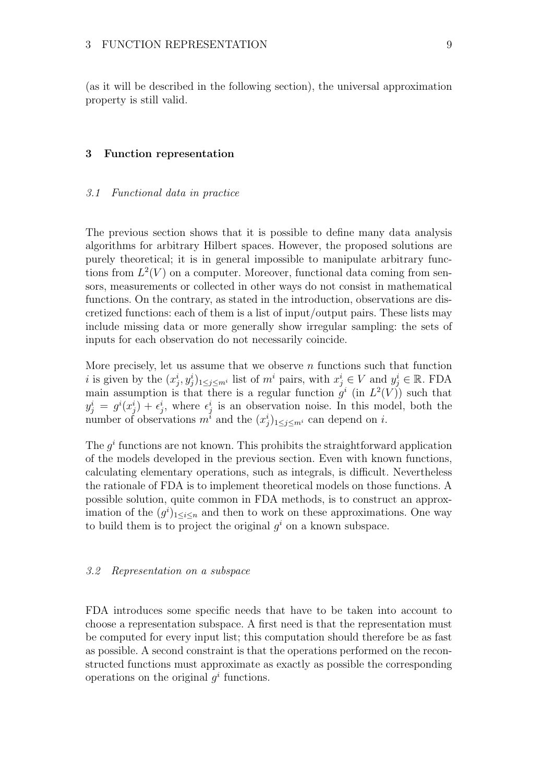(as it will be described in the following section), the universal approximation property is still valid.

# 3 Function representation

#### 3.1 Functional data in practice

The previous section shows that it is possible to define many data analysis algorithms for arbitrary Hilbert spaces. However, the proposed solutions are purely theoretical; it is in general impossible to manipulate arbitrary functions from  $L^2(V)$  on a computer. Moreover, functional data coming from sensors, measurements or collected in other ways do not consist in mathematical functions. On the contrary, as stated in the introduction, observations are discretized functions: each of them is a list of input/output pairs. These lists may include missing data or more generally show irregular sampling: the sets of inputs for each observation do not necessarily coincide.

More precisely, let us assume that we observe  $n$  functions such that function *i* is given by the  $(x_j^i, y_j^i)_{1 \leq j \leq m^i}$  list of  $m^i$  pairs, with  $x_j^i \in V$  and  $y_j^i \in \mathbb{R}$ . FDA main assumption is that there is a regular function  $g^i$  (in  $L^2(V)$ ) such that  $y_j^i = g^i(x_j^i) + \epsilon_j^i$ , where  $\epsilon_j^i$  is an observation noise. In this model, both the number of observations  $m^i$  and the  $(x_j^i)_{1 \leq j \leq m^i}$  can depend on i.

The  $g^i$  functions are not known. This prohibits the straightforward application of the models developed in the previous section. Even with known functions, calculating elementary operations, such as integrals, is difficult. Nevertheless the rationale of FDA is to implement theoretical models on those functions. A possible solution, quite common in FDA methods, is to construct an approximation of the  $(g<sup>i</sup>)_{1 \leq i \leq n}$  and then to work on these approximations. One way to build them is to project the original  $g^i$  on a known subspace.

#### 3.2 Representation on a subspace

FDA introduces some specific needs that have to be taken into account to choose a representation subspace. A first need is that the representation must be computed for every input list; this computation should therefore be as fast as possible. A second constraint is that the operations performed on the reconstructed functions must approximate as exactly as possible the corresponding operations on the original  $g^i$  functions.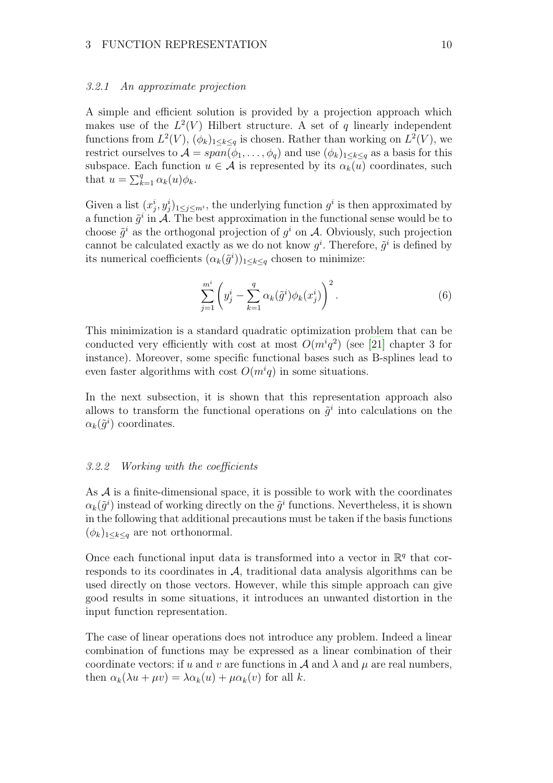#### 3.2.1 An approximate projection

A simple and efficient solution is provided by a projection approach which makes use of the  $L^2(V)$  Hilbert structure. A set of q linearly independent functions from  $L^2(V)$ ,  $(\phi_k)_{1 \leq k \leq q}$  is chosen. Rather than working on  $L^2(V)$ , we restrict ourselves to  $\mathcal{A} = span(\phi_1, \ldots, \phi_q)$  and use  $(\phi_k)_{1 \leq k \leq q}$  as a basis for this subspace. Each function  $u \in \mathcal{A}$  is represented by its  $\alpha_k(u)$  coordinates, such that  $u = \sum_{k=1}^{q} \alpha_k(u) \phi_k$ .

Given a list  $(x_j^i, y_j^i)_{1 \leq j \leq m^i}$ , the underlying function  $g^i$  is then approximated by a function  $\tilde{g}^i$  in  $\mathcal{A}$ . The best approximation in the functional sense would be to choose  $\tilde{g}^i$  as the orthogonal projection of  $g^i$  on A. Obviously, such projection cannot be calculated exactly as we do not know  $g^i$ . Therefore,  $\tilde{g}^i$  is defined by its numerical coefficients  $(\alpha_k(\tilde{g}^i))_{1 \leq k \leq q}$  chosen to minimize:

$$
\sum_{j=1}^{m^i} \left( y_j^i - \sum_{k=1}^q \alpha_k(\tilde{g}^i) \phi_k(x_j^i) \right)^2.
$$
 (6)

This minimization is a standard quadratic optimization problem that can be conducted very efficiently with cost at most  $O(m^{i}q^{2})$  (see [\[21](#page-27-0)] chapter 3 for instance). Moreover, some specific functional bases such as B-splines lead to even faster algorithms with cost  $O(m^i q)$  in some situations.

In the next subsection, it is shown that this representation approach also allows to transform the functional operations on  $\tilde{g}^i$  into calculations on the  $\alpha_k(\tilde{g}^i)$  coordinates.

## 3.2.2 Working with the coefficients

As  $A$  is a finite-dimensional space, it is possible to work with the coordinates  $\alpha_k(\tilde{g}^i)$  instead of working directly on the  $\tilde{g}^i$  functions. Nevertheless, it is shown in the following that additional precautions must be taken if the basis functions  $(\phi_k)_{1\leq k\leq q}$  are not orthonormal.

Once each functional input data is transformed into a vector in  $\mathbb{R}^q$  that corresponds to its coordinates in  $A$ , traditional data analysis algorithms can be used directly on those vectors. However, while this simple approach can give good results in some situations, it introduces an unwanted distortion in the input function representation.

The case of linear operations does not introduce any problem. Indeed a linear combination of functions may be expressed as a linear combination of their coordinate vectors: if u and v are functions in A and  $\lambda$  and  $\mu$  are real numbers, then  $\alpha_k(\lambda u + \mu v) = \lambda \alpha_k(u) + \mu \alpha_k(v)$  for all k.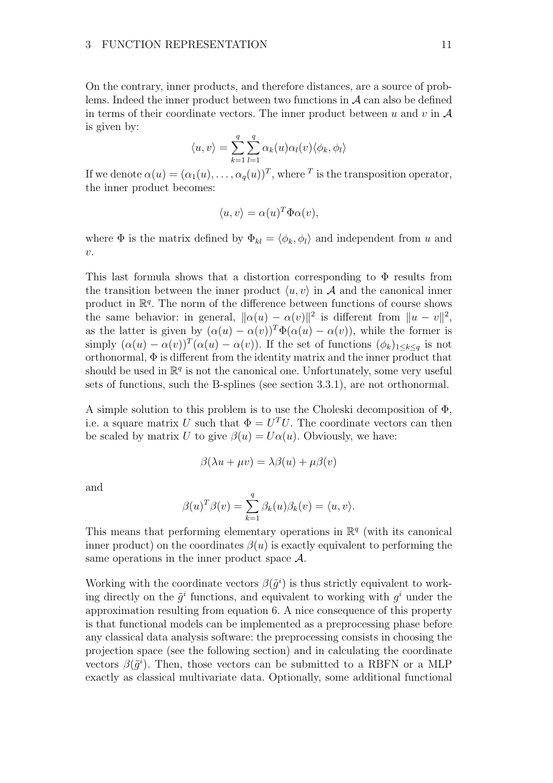On the contrary, inner products, and therefore distances, are a source of problems. Indeed the inner product between two functions in  $A$  can also be defined in terms of their coordinate vectors. The inner product between u and v in  $\mathcal A$ is given by:

$$
\langle u, v \rangle = \sum_{k=1}^{q} \sum_{l=1}^{q} \alpha_k(u) \alpha_l(v) \langle \phi_k, \phi_l \rangle
$$

If we denote  $\alpha(u) = (\alpha_1(u), \ldots, \alpha_q(u))^T$ , where <sup>T</sup> is the transposition operator, the inner product becomes:

$$
\langle u, v \rangle = \alpha(u)^T \Phi \alpha(v),
$$

where  $\Phi$  is the matrix defined by  $\Phi_{kl} = \langle \phi_k, \phi_l \rangle$  and independent from u and  $v$ .

This last formula shows that a distortion corresponding to  $\Phi$  results from the transition between the inner product  $\langle u, v \rangle$  in A and the canonical inner product in  $\mathbb{R}^q$ . The norm of the difference between functions of course shows the same behavior: in general,  $\|\alpha(u) - \alpha(v)\|^2$  is different from  $\|u - v\|^2$ , as the latter is given by  $(\alpha(u) - \alpha(v))^T \Phi(\alpha(u) - \alpha(v))$ , while the former is simply  $(\alpha(u) - \alpha(v))^T (\alpha(u) - \alpha(v))$ . If the set of functions  $(\phi_k)_{1 \leq k \leq q}$  is not orthonormal, Φ is different from the identity matrix and the inner product that should be used in  $\mathbb{R}^q$  is not the canonical one. Unfortunately, some very useful sets of functions, such the B-splines (see section 3.3.1), are not orthonormal.

A simple solution to this problem is to use the Choleski decomposition of  $\Phi$ , i.e. a square matrix U such that  $\Phi = U^T U$ . The coordinate vectors can then be scaled by matrix U to give  $\beta(u) = U\alpha(u)$ . Obviously, we have:

$$
\beta(\lambda u + \mu v) = \lambda \beta(u) + \mu \beta(v)
$$

and

$$
\beta(u)^T \beta(v) = \sum_{k=1}^q \beta_k(u) \beta_k(v) = \langle u, v \rangle.
$$

This means that performing elementary operations in  $\mathbb{R}^q$  (with its canonical inner product) on the coordinates  $\beta(u)$  is exactly equivalent to performing the same operations in the inner product space  $\mathcal{A}$ .

Working with the coordinate vectors  $\beta(\tilde{g}^i)$  is thus strictly equivalent to working directly on the  $\tilde{g}^i$  functions, and equivalent to working with  $g^i$  under the approximation resulting from equation 6. A nice consequence of this property is that functional models can be implemented as a preprocessing phase before any classical data analysis software: the preprocessing consists in choosing the projection space (see the following section) and in calculating the coordinate vectors  $\beta(\tilde{g}^i)$ . Then, those vectors can be submitted to a RBFN or a MLP exactly as classical multivariate data. Optionally, some additional functional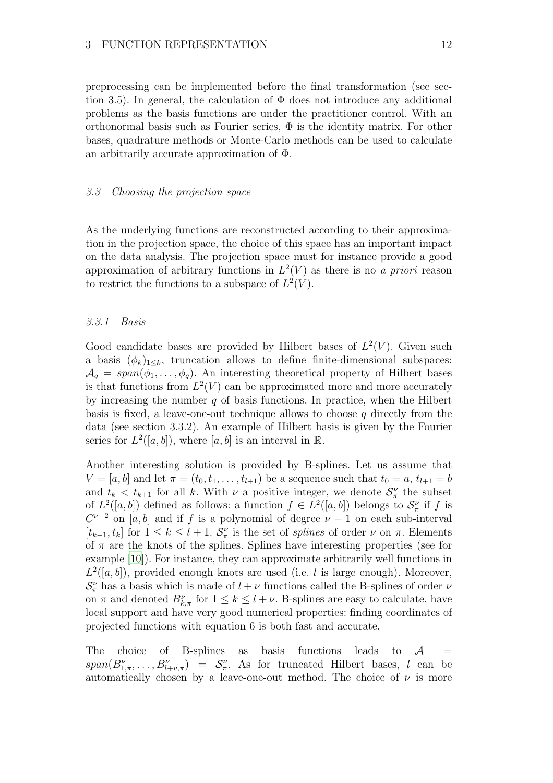preprocessing can be implemented before the final transformation (see section 3.5). In general, the calculation of  $\Phi$  does not introduce any additional problems as the basis functions are under the practitioner control. With an orthonormal basis such as Fourier series,  $\Phi$  is the identity matrix. For other bases, quadrature methods or Monte-Carlo methods can be used to calculate an arbitrarily accurate approximation of Φ.

### 3.3 Choosing the projection space

As the underlying functions are reconstructed according to their approximation in the projection space, the choice of this space has an important impact on the data analysis. The projection space must for instance provide a good approximation of arbitrary functions in  $L^2(V)$  as there is no a priori reason to restrict the functions to a subspace of  $L^2(V)$ .

# 3.3.1 Basis

Good candidate bases are provided by Hilbert bases of  $L^2(V)$ . Given such a basis  $(\phi_k)_{1\leq k}$ , truncation allows to define finite-dimensional subspaces:  $\mathcal{A}_q = span(\phi_1, \ldots, \phi_q)$ . An interesting theoretical property of Hilbert bases is that functions from  $L^2(V)$  can be approximated more and more accurately by increasing the number  $q$  of basis functions. In practice, when the Hilbert basis is fixed, a leave-one-out technique allows to choose  $q$  directly from the data (see section 3.3.2). An example of Hilbert basis is given by the Fourier series for  $L^2([a, b])$ , where  $[a, b]$  is an interval in  $\mathbb{R}$ .

Another interesting solution is provided by B-splines. Let us assume that  $V = [a, b]$  and let  $\pi = (t_0, t_1, \ldots, t_{l+1})$  be a sequence such that  $t_0 = a, t_{l+1} = b$ and  $t_k < t_{k+1}$  for all k. With  $\nu$  a positive integer, we denote  $S_{\pi}^{\nu}$  the subset of  $L^2([a, b])$  defined as follows: a function  $f \in L^2([a, b])$  belongs to  $\mathcal{S}_{\pi}^{\nu}$  if f is  $C^{\nu-2}$  on [a, b] and if f is a polynomial of degree  $\nu-1$  on each sub-interval [ $t_{k-1}, t_k$ ] for  $1 \leq k \leq l+1$ .  $S^{\nu}_{\pi}$  is the set of *splines* of order *ν* on π. Elements of  $\pi$  are the knots of the splines. Splines have interesting properties (see for example [\[10](#page-26-9)]). For instance, they can approximate arbitrarily well functions in  $L^2([a, b])$ , provided enough knots are used (i.e. l is large enough). Moreover,  $S_{\pi}^{\nu}$  has a basis which is made of  $l + \nu$  functions called the B-splines of order  $\nu$ on  $\pi$  and denoted  $B_{k,\pi}^{\nu}$  for  $1 \leq k \leq l+\nu$ . B-splines are easy to calculate, have local support and have very good numerical properties: finding coordinates of projected functions with equation 6 is both fast and accurate.

The choice of B-splines as basis functions leads to  $A =$  $span(B_{1,\pi}^{\nu},\ldots,B_{l+v,\pi}^{\nu}) = S_{\pi}^{\nu}$ . As for truncated Hilbert bases, l can be automatically chosen by a leave-one-out method. The choice of  $\nu$  is more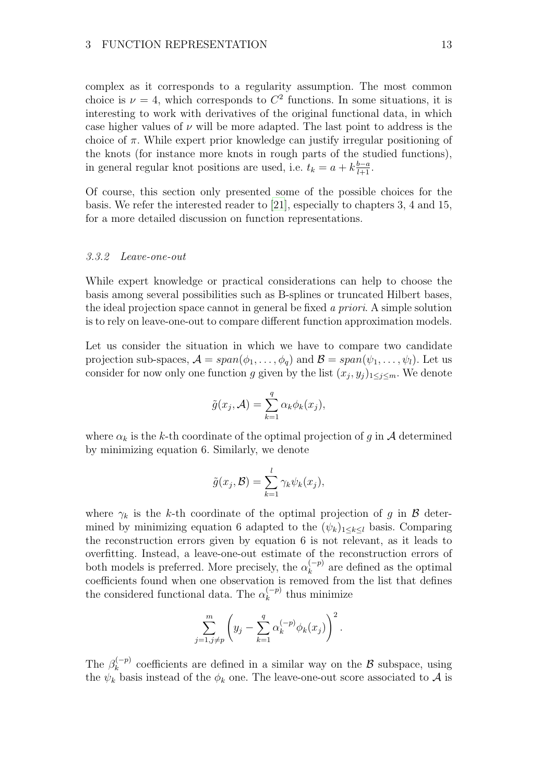complex as it corresponds to a regularity assumption. The most common choice is  $\nu = 4$ , which corresponds to  $C^2$  functions. In some situations, it is interesting to work with derivatives of the original functional data, in which case higher values of  $\nu$  will be more adapted. The last point to address is the choice of  $\pi$ . While expert prior knowledge can justify irregular positioning of the knots (for instance more knots in rough parts of the studied functions), in general regular knot positions are used, i.e.  $t_k = a + k \frac{b-a}{l+1}$ .

Of course, this section only presented some of the possible choices for the basis. We refer the interested reader to [\[21\]](#page-27-0), especially to chapters 3, 4 and 15, for a more detailed discussion on function representations.

#### 3.3.2 Leave-one-out

While expert knowledge or practical considerations can help to choose the basis among several possibilities such as B-splines or truncated Hilbert bases, the ideal projection space cannot in general be fixed a priori. A simple solution is to rely on leave-one-out to compare different function approximation models.

Let us consider the situation in which we have to compare two candidate projection sub-spaces,  $\mathcal{A} = span(\phi_1, \ldots, \phi_q)$  and  $\mathcal{B} = span(\psi_1, \ldots, \psi_l)$ . Let us consider for now only one function g given by the list  $(x_j, y_j)_{1 \leq j \leq m}$ . We denote

$$
\tilde{g}(x_j, \mathcal{A}) = \sum_{k=1}^q \alpha_k \phi_k(x_j),
$$

where  $\alpha_k$  is the k-th coordinate of the optimal projection of g in A determined by minimizing equation 6. Similarly, we denote

$$
\tilde{g}(x_j,\mathcal{B}) = \sum_{k=1}^l \gamma_k \psi_k(x_j),
$$

where  $\gamma_k$  is the k-th coordinate of the optimal projection of g in B determined by minimizing equation 6 adapted to the  $(\psi_k)_{1 \leq k \leq l}$  basis. Comparing the reconstruction errors given by equation 6 is not relevant, as it leads to overfitting. Instead, a leave-one-out estimate of the reconstruction errors of both models is preferred. More precisely, the  $\alpha_k^{(-p)}$  $\binom{(-p)}{k}$  are defined as the optimal coefficients found when one observation is removed from the list that defines the considered functional data. The  $\alpha_k^{(-p)}$  $\int_k^{(-p)}$  thus minimize

$$
\sum_{j=1, j\neq p}^{m} \left( y_j - \sum_{k=1}^{q} \alpha_k^{(-p)} \phi_k(x_j) \right)^2.
$$

The  $\beta_k^{(-p)}$  $\kappa_k^{(-p)}$  coefficients are defined in a similar way on the B subspace, using the  $\psi_k$  basis instead of the  $\phi_k$  one. The leave-one-out score associated to A is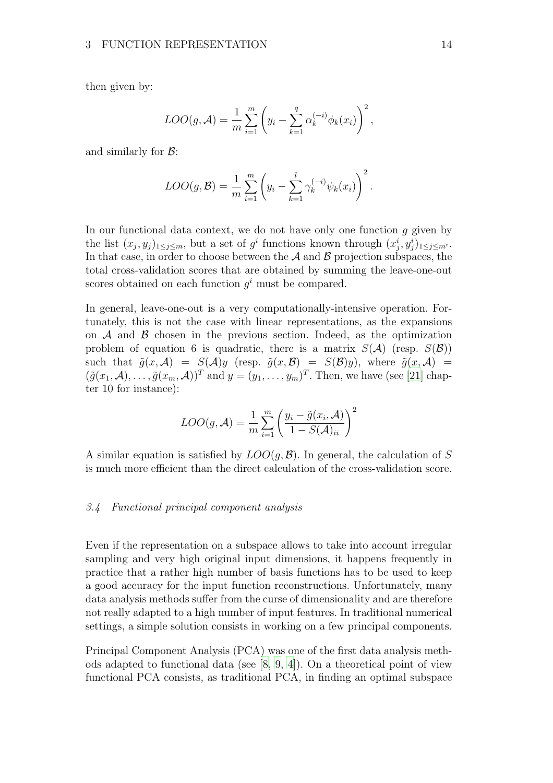then given by:

$$
LOO(g, \mathcal{A}) = \frac{1}{m} \sum_{i=1}^{m} \left( y_i - \sum_{k=1}^{q} \alpha_k^{(-i)} \phi_k(x_i) \right)^2,
$$

and similarly for  $\mathcal{B}$ :

$$
LOO(g, \mathcal{B}) = \frac{1}{m} \sum_{i=1}^{m} \left( y_i - \sum_{k=1}^{l} \gamma_k^{(-i)} \psi_k(x_i) \right)^2.
$$

In our functional data context, we do not have only one function  $g$  given by the list  $(x_j, y_j)_{1 \leq j \leq m}$ , but a set of  $g^i$  functions known through  $(x_j^i, y_j^i)_{1 \leq j \leq m^i}$ . In that case, in order to choose between the  $A$  and  $B$  projection subspaces, the total cross-validation scores that are obtained by summing the leave-one-out scores obtained on each function  $g^i$  must be compared.

In general, leave-one-out is a very computationally-intensive operation. Fortunately, this is not the case with linear representations, as the expansions on  $A$  and  $B$  chosen in the previous section. Indeed, as the optimization problem of equation 6 is quadratic, there is a matrix  $S(\mathcal{A})$  (resp.  $S(\mathcal{B})$ ) such that  $\tilde{g}(x, A) = S(A)y$  (resp.  $\tilde{g}(x, B) = S(B)y$ ), where  $\tilde{g}(x, A) =$  $(\tilde{g}(x_1,\mathcal{A}),\ldots,\tilde{g}(x_m,\mathcal{A}))^T$  and  $y=(y_1,\ldots,y_m)^T$ . Then, we have (see [\[21](#page-27-0)] chapter 10 for instance):

$$
LOO(g, \mathcal{A}) = \frac{1}{m} \sum_{i=1}^{m} \left( \frac{y_i - \tilde{g}(x_i, \mathcal{A})}{1 - S(\mathcal{A})_{ii}} \right)^2
$$

A similar equation is satisfied by  $LOO(q, \mathcal{B})$ . In general, the calculation of S is much more efficient than the direct calculation of the cross-validation score.

#### 3.4 Functional principal component analysis

Even if the representation on a subspace allows to take into account irregular sampling and very high original input dimensions, it happens frequently in practice that a rather high number of basis functions has to be used to keep a good accuracy for the input function reconstructions. Unfortunately, many data analysis methods suffer from the curse of dimensionality and are therefore not really adapted to a high number of input features. In traditional numerical settings, a simple solution consists in working on a few principal components.

Principal Component Analysis (PCA) was one of the first data analysis methods adapted to functional data (see [\[8,](#page-26-10) [9,](#page-26-11) [4](#page-26-12)]). On a theoretical point of view functional PCA consists, as traditional PCA, in finding an optimal subspace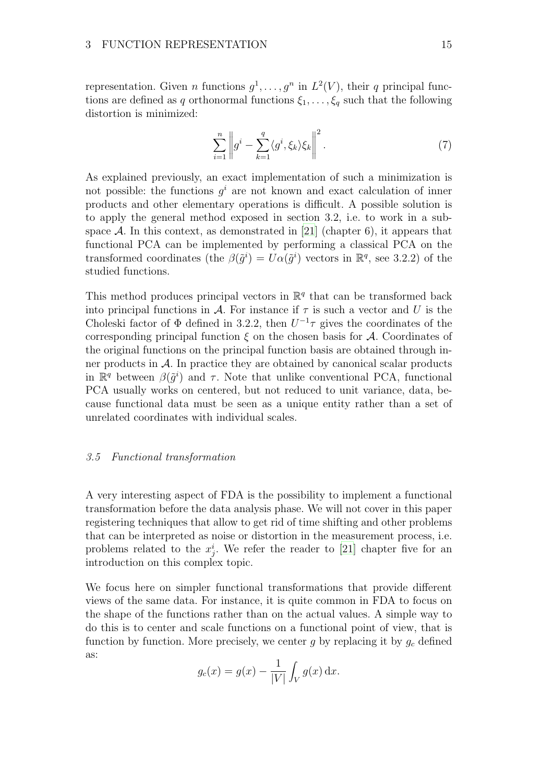representation. Given *n* functions  $g^1, \ldots, g^n$  in  $L^2(V)$ , their *q* principal functions are defined as q orthonormal functions  $\xi_1,\ldots,\xi_q$  such that the following distortion is minimized:

$$
\sum_{i=1}^{n} \left\| g^{i} - \sum_{k=1}^{q} \langle g^{i}, \xi_{k} \rangle \xi_{k} \right\|^{2}.
$$
 (7)

As explained previously, an exact implementation of such a minimization is not possible: the functions  $g^i$  are not known and exact calculation of inner products and other elementary operations is difficult. A possible solution is to apply the general method exposed in section 3.2, i.e. to work in a sub-space A. In this context, as demonstrated in [\[21\]](#page-27-0) (chapter 6), it appears that functional PCA can be implemented by performing a classical PCA on the transformed coordinates (the  $\beta(\tilde{g}^i) = U\alpha(\tilde{g}^i)$  vectors in  $\mathbb{R}^q$ , see 3.2.2) of the studied functions.

This method produces principal vectors in  $\mathbb{R}^q$  that can be transformed back into principal functions in A. For instance if  $\tau$  is such a vector and U is the Choleski factor of  $\Phi$  defined in 3.2.2, then  $U^{-1}\tau$  gives the coordinates of the corresponding principal function  $\xi$  on the chosen basis for  $\mathcal A$ . Coordinates of the original functions on the principal function basis are obtained through inner products in  $\mathcal{A}$ . In practice they are obtained by canonical scalar products in  $\mathbb{R}^q$  between  $\beta(\tilde{g}^i)$  and  $\tau$ . Note that unlike conventional PCA, functional PCA usually works on centered, but not reduced to unit variance, data, because functional data must be seen as a unique entity rather than a set of unrelated coordinates with individual scales.

#### 3.5 Functional transformation

A very interesting aspect of FDA is the possibility to implement a functional transformation before the data analysis phase. We will not cover in this paper registering techniques that allow to get rid of time shifting and other problems that can be interpreted as noise or distortion in the measurement process, i.e. problems related to the  $x_j^i$ . We refer the reader to [\[21](#page-27-0)] chapter five for an introduction on this complex topic.

We focus here on simpler functional transformations that provide different views of the same data. For instance, it is quite common in FDA to focus on the shape of the functions rather than on the actual values. A simple way to do this is to center and scale functions on a functional point of view, that is function by function. More precisely, we center  $g$  by replacing it by  $g_c$  defined as:

$$
g_c(x) = g(x) - \frac{1}{|V|} \int_V g(x) dx.
$$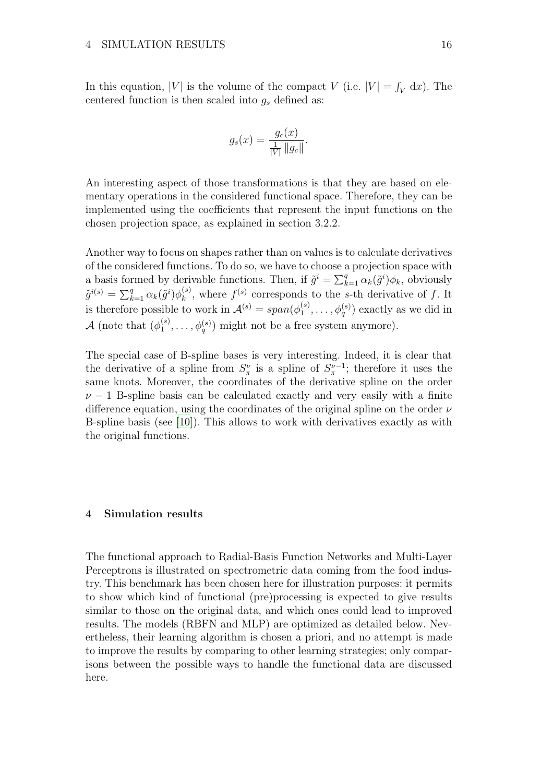In this equation, |V| is the volume of the compact V (i.e.  $|V| = \int_V dx$ ). The centered function is then scaled into  $g_s$  defined as:

$$
g_s(x) = \frac{g_c(x)}{\frac{1}{|V|} \|g_c\|}.
$$

An interesting aspect of those transformations is that they are based on elementary operations in the considered functional space. Therefore, they can be implemented using the coefficients that represent the input functions on the chosen projection space, as explained in section 3.2.2.

Another way to focus on shapes rather than on values is to calculate derivatives of the considered functions. To do so, we have to choose a projection space with a basis formed by derivable functions. Then, if  $\tilde{g}^i = \sum_{k=1}^q \alpha_k(\tilde{g}^i)\phi_k$ , obviously  $\tilde{g}^{i(s)} = \sum_{k=1}^q \alpha_k(\tilde{g}^i) \phi_k^{(s)}$  $\mathbf{f}_{k}^{(s)}$ , where  $f^{(s)}$  corresponds to the s-th derivative of f. It is therefore possible to work in  $\mathcal{A}^{(s)} = span(\phi_1^{(s)})$  $\mathbf{q}_1^{(s)}, \ldots, \phi_q^{(s)}$  exactly as we did in  $\mathcal{A}$  (note that  $(\phi_1^{(s)})$  $\mathcal{L}_1^{(s)}, \ldots, \phi_q^{(s)}$  might not be a free system anymore).

The special case of B-spline bases is very interesting. Indeed, it is clear that the derivative of a spline from  $S_{\pi}^{\nu}$  is a spline of  $S_{\pi}^{\nu-1}$ ; therefore it uses the same knots. Moreover, the coordinates of the derivative spline on the order  $\nu - 1$  B-spline basis can be calculated exactly and very easily with a finite difference equation, using the coordinates of the original spline on the order  $\nu$ B-spline basis (see [\[10\]](#page-26-9)). This allows to work with derivatives exactly as with the original functions.

## 4 Simulation results

The functional approach to Radial-Basis Function Networks and Multi-Layer Perceptrons is illustrated on spectrometric data coming from the food industry. This benchmark has been chosen here for illustration purposes: it permits to show which kind of functional (pre)processing is expected to give results similar to those on the original data, and which ones could lead to improved results. The models (RBFN and MLP) are optimized as detailed below. Nevertheless, their learning algorithm is chosen a priori, and no attempt is made to improve the results by comparing to other learning strategies; only comparisons between the possible ways to handle the functional data are discussed here.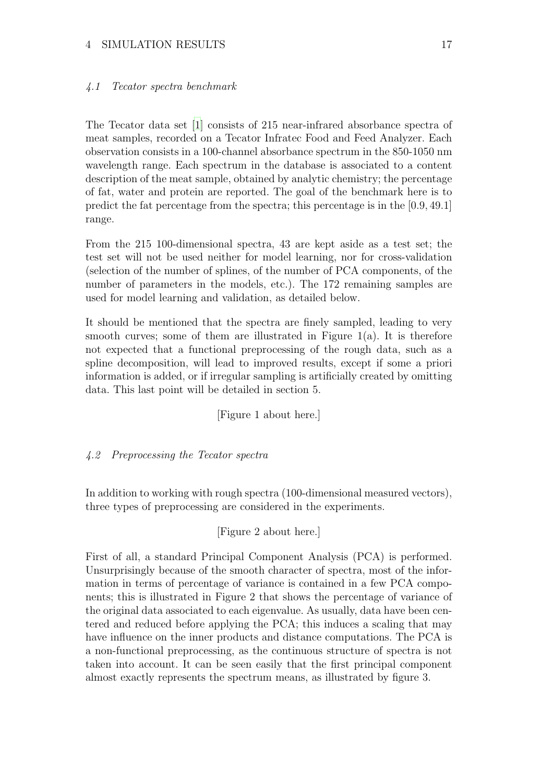# 4.1 Tecator spectra benchmark

The Tecator data set [\[1\]](#page-25-1) consists of 215 near-infrared absorbance spectra of meat samples, recorded on a Tecator Infratec Food and Feed Analyzer. Each observation consists in a 100-channel absorbance spectrum in the 850-1050 nm wavelength range. Each spectrum in the database is associated to a content description of the meat sample, obtained by analytic chemistry; the percentage of fat, water and protein are reported. The goal of the benchmark here is to predict the fat percentage from the spectra; this percentage is in the [0.9, 49.1] range.

From the 215 100-dimensional spectra, 43 are kept aside as a test set; the test set will not be used neither for model learning, nor for cross-validation (selection of the number of splines, of the number of PCA components, of the number of parameters in the models, etc.). The 172 remaining samples are used for model learning and validation, as detailed below.

It should be mentioned that the spectra are finely sampled, leading to very smooth curves; some of them are illustrated in Figure  $1(a)$ . It is therefore not expected that a functional preprocessing of the rough data, such as a spline decomposition, will lead to improved results, except if some a priori information is added, or if irregular sampling is artificially created by omitting data. This last point will be detailed in section 5.

[Figure 1 about here.]

4.2 Preprocessing the Tecator spectra

In addition to working with rough spectra (100-dimensional measured vectors), three types of preprocessing are considered in the experiments.

[Figure 2 about here.]

First of all, a standard Principal Component Analysis (PCA) is performed. Unsurprisingly because of the smooth character of spectra, most of the information in terms of percentage of variance is contained in a few PCA components; this is illustrated in Figure 2 that shows the percentage of variance of the original data associated to each eigenvalue. As usually, data have been centered and reduced before applying the PCA; this induces a scaling that may have influence on the inner products and distance computations. The PCA is a non-functional preprocessing, as the continuous structure of spectra is not taken into account. It can be seen easily that the first principal component almost exactly represents the spectrum means, as illustrated by figure 3.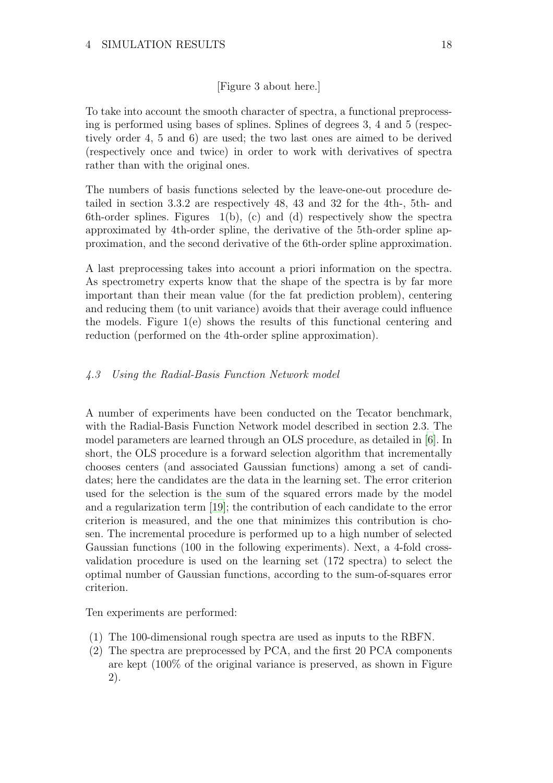To take into account the smooth character of spectra, a functional preprocessing is performed using bases of splines. Splines of degrees 3, 4 and 5 (respectively order 4, 5 and 6) are used; the two last ones are aimed to be derived (respectively once and twice) in order to work with derivatives of spectra rather than with the original ones.

The numbers of basis functions selected by the leave-one-out procedure detailed in section 3.3.2 are respectively 48, 43 and 32 for the 4th-, 5th- and 6th-order splines. Figures 1(b), (c) and (d) respectively show the spectra approximated by 4th-order spline, the derivative of the 5th-order spline approximation, and the second derivative of the 6th-order spline approximation.

A last preprocessing takes into account a priori information on the spectra. As spectrometry experts know that the shape of the spectra is by far more important than their mean value (for the fat prediction problem), centering and reducing them (to unit variance) avoids that their average could influence the models. Figure  $1(e)$  shows the results of this functional centering and reduction (performed on the 4th-order spline approximation).

# 4.3 Using the Radial-Basis Function Network model

A number of experiments have been conducted on the Tecator benchmark, with the Radial-Basis Function Network model described in section 2.3. The model parameters are learned through an OLS procedure, as detailed in [\[6](#page-26-13)]. In short, the OLS procedure is a forward selection algorithm that incrementally chooses centers (and associated Gaussian functions) among a set of candidates; here the candidates are the data in the learning set. The error criterion used for the selection is the sum of the squared errors made by the model and a regularization term [\[19](#page-27-12)]; the contribution of each candidate to the error criterion is measured, and the one that minimizes this contribution is chosen. The incremental procedure is performed up to a high number of selected Gaussian functions (100 in the following experiments). Next, a 4-fold crossvalidation procedure is used on the learning set (172 spectra) to select the optimal number of Gaussian functions, according to the sum-of-squares error criterion.

Ten experiments are performed:

- (1) The 100-dimensional rough spectra are used as inputs to the RBFN.
- (2) The spectra are preprocessed by PCA, and the first 20 PCA components are kept (100% of the original variance is preserved, as shown in Figure 2).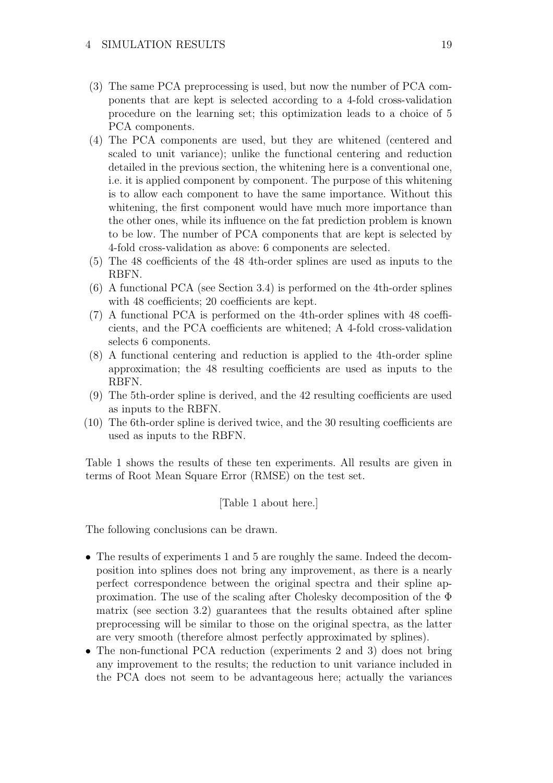- (3) The same PCA preprocessing is used, but now the number of PCA components that are kept is selected according to a 4-fold cross-validation procedure on the learning set; this optimization leads to a choice of 5 PCA components.
- (4) The PCA components are used, but they are whitened (centered and scaled to unit variance); unlike the functional centering and reduction detailed in the previous section, the whitening here is a conventional one, i.e. it is applied component by component. The purpose of this whitening is to allow each component to have the same importance. Without this whitening, the first component would have much more importance than the other ones, while its influence on the fat prediction problem is known to be low. The number of PCA components that are kept is selected by 4-fold cross-validation as above: 6 components are selected.
- (5) The 48 coefficients of the 48 4th-order splines are used as inputs to the RBFN.
- (6) A functional PCA (see Section 3.4) is performed on the 4th-order splines with 48 coefficients; 20 coefficients are kept.
- (7) A functional PCA is performed on the 4th-order splines with 48 coefficients, and the PCA coefficients are whitened; A 4-fold cross-validation selects 6 components.
- (8) A functional centering and reduction is applied to the 4th-order spline approximation; the 48 resulting coefficients are used as inputs to the RBFN.
- (9) The 5th-order spline is derived, and the 42 resulting coefficients are used as inputs to the RBFN.
- (10) The 6th-order spline is derived twice, and the 30 resulting coefficients are used as inputs to the RBFN.

Table 1 shows the results of these ten experiments. All results are given in terms of Root Mean Square Error (RMSE) on the test set.

[Table 1 about here.]

The following conclusions can be drawn.

- The results of experiments 1 and 5 are roughly the same. Indeed the decomposition into splines does not bring any improvement, as there is a nearly perfect correspondence between the original spectra and their spline approximation. The use of the scaling after Cholesky decomposition of the Φ matrix (see section 3.2) guarantees that the results obtained after spline preprocessing will be similar to those on the original spectra, as the latter are very smooth (therefore almost perfectly approximated by splines).
- The non-functional PCA reduction (experiments 2 and 3) does not bring any improvement to the results; the reduction to unit variance included in the PCA does not seem to be advantageous here; actually the variances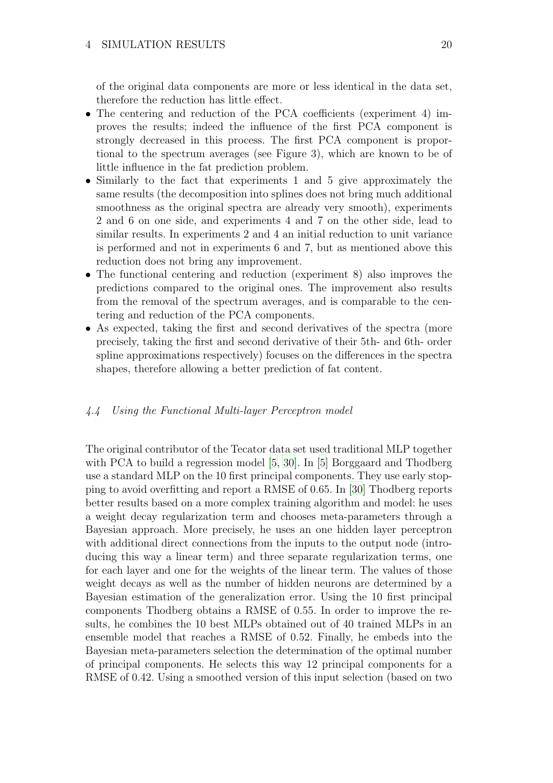of the original data components are more or less identical in the data set, therefore the reduction has little effect.

- The centering and reduction of the PCA coefficients (experiment 4) improves the results; indeed the influence of the first PCA component is strongly decreased in this process. The first PCA component is proportional to the spectrum averages (see Figure 3), which are known to be of little influence in the fat prediction problem.
- Similarly to the fact that experiments 1 and 5 give approximately the same results (the decomposition into splines does not bring much additional smoothness as the original spectra are already very smooth), experiments 2 and 6 on one side, and experiments 4 and 7 on the other side, lead to similar results. In experiments 2 and 4 an initial reduction to unit variance is performed and not in experiments 6 and 7, but as mentioned above this reduction does not bring any improvement.
- The functional centering and reduction (experiment 8) also improves the predictions compared to the original ones. The improvement also results from the removal of the spectrum averages, and is comparable to the centering and reduction of the PCA components.
- As expected, taking the first and second derivatives of the spectra (more precisely, taking the first and second derivative of their 5th- and 6th- order spline approximations respectively) focuses on the differences in the spectra shapes, therefore allowing a better prediction of fat content.

# 4.4 Using the Functional Multi-layer Perceptron model

The original contributor of the Tecator data set used traditional MLP together with PCA to build a regression model [\[5,](#page-26-14) [30\]](#page-27-13). In [\[5](#page-26-14)] Borggaard and Thodberg use a standard MLP on the 10 first principal components. They use early stopping to avoid overfitting and report a RMSE of 0.65. In [\[30](#page-27-13)] Thodberg reports better results based on a more complex training algorithm and model: he uses a weight decay regularization term and chooses meta-parameters through a Bayesian approach. More precisely, he uses an one hidden layer perceptron with additional direct connections from the inputs to the output node (introducing this way a linear term) and three separate regularization terms, one for each layer and one for the weights of the linear term. The values of those weight decays as well as the number of hidden neurons are determined by a Bayesian estimation of the generalization error. Using the 10 first principal components Thodberg obtains a RMSE of 0.55. In order to improve the results, he combines the 10 best MLPs obtained out of 40 trained MLPs in an ensemble model that reaches a RMSE of 0.52. Finally, he embeds into the Bayesian meta-parameters selection the determination of the optimal number of principal components. He selects this way 12 principal components for a RMSE of 0.42. Using a smoothed version of this input selection (based on two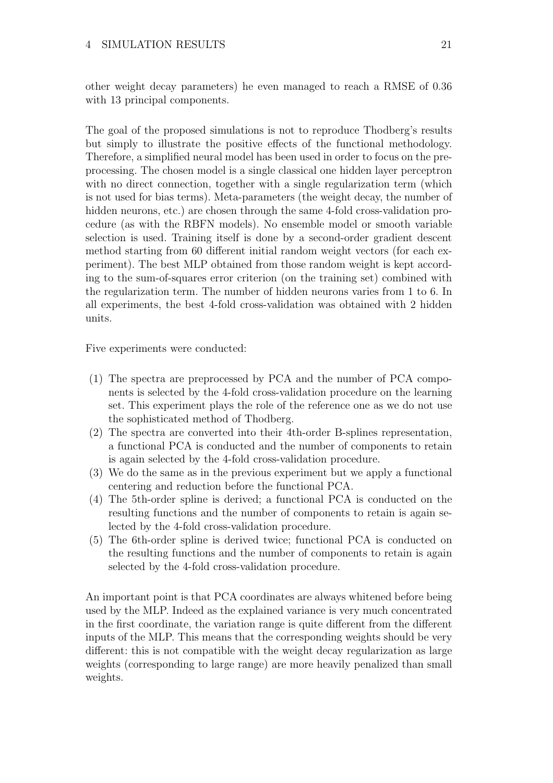other weight decay parameters) he even managed to reach a RMSE of 0.36 with 13 principal components.

The goal of the proposed simulations is not to reproduce Thodberg's results but simply to illustrate the positive effects of the functional methodology. Therefore, a simplified neural model has been used in order to focus on the preprocessing. The chosen model is a single classical one hidden layer perceptron with no direct connection, together with a single regularization term (which is not used for bias terms). Meta-parameters (the weight decay, the number of hidden neurons, etc.) are chosen through the same 4-fold cross-validation procedure (as with the RBFN models). No ensemble model or smooth variable selection is used. Training itself is done by a second-order gradient descent method starting from 60 different initial random weight vectors (for each experiment). The best MLP obtained from those random weight is kept according to the sum-of-squares error criterion (on the training set) combined with the regularization term. The number of hidden neurons varies from 1 to 6. In all experiments, the best 4-fold cross-validation was obtained with 2 hidden units.

Five experiments were conducted:

- (1) The spectra are preprocessed by PCA and the number of PCA components is selected by the 4-fold cross-validation procedure on the learning set. This experiment plays the role of the reference one as we do not use the sophisticated method of Thodberg.
- (2) The spectra are converted into their 4th-order B-splines representation, a functional PCA is conducted and the number of components to retain is again selected by the 4-fold cross-validation procedure.
- (3) We do the same as in the previous experiment but we apply a functional centering and reduction before the functional PCA.
- (4) The 5th-order spline is derived; a functional PCA is conducted on the resulting functions and the number of components to retain is again selected by the 4-fold cross-validation procedure.
- (5) The 6th-order spline is derived twice; functional PCA is conducted on the resulting functions and the number of components to retain is again selected by the 4-fold cross-validation procedure.

An important point is that PCA coordinates are always whitened before being used by the MLP. Indeed as the explained variance is very much concentrated in the first coordinate, the variation range is quite different from the different inputs of the MLP. This means that the corresponding weights should be very different: this is not compatible with the weight decay regularization as large weights (corresponding to large range) are more heavily penalized than small weights.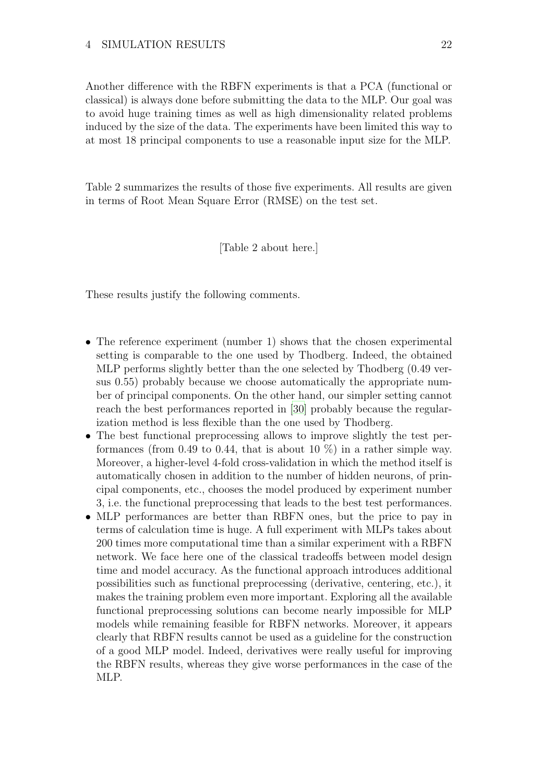Another difference with the RBFN experiments is that a PCA (functional or classical) is always done before submitting the data to the MLP. Our goal was to avoid huge training times as well as high dimensionality related problems induced by the size of the data. The experiments have been limited this way to at most 18 principal components to use a reasonable input size for the MLP.

Table 2 summarizes the results of those five experiments. All results are given in terms of Root Mean Square Error (RMSE) on the test set.

# [Table 2 about here.]

These results justify the following comments.

- The reference experiment (number 1) shows that the chosen experimental setting is comparable to the one used by Thodberg. Indeed, the obtained MLP performs slightly better than the one selected by Thodberg (0.49 versus 0.55) probably because we choose automatically the appropriate number of principal components. On the other hand, our simpler setting cannot reach the best performances reported in [\[30](#page-27-13)] probably because the regularization method is less flexible than the one used by Thodberg.
- The best functional preprocessing allows to improve slightly the test performances (from 0.49 to 0.44, that is about 10  $\%$ ) in a rather simple way. Moreover, a higher-level 4-fold cross-validation in which the method itself is automatically chosen in addition to the number of hidden neurons, of principal components, etc., chooses the model produced by experiment number 3, i.e. the functional preprocessing that leads to the best test performances.
- MLP performances are better than RBFN ones, but the price to pay in terms of calculation time is huge. A full experiment with MLPs takes about 200 times more computational time than a similar experiment with a RBFN network. We face here one of the classical tradeoffs between model design time and model accuracy. As the functional approach introduces additional possibilities such as functional preprocessing (derivative, centering, etc.), it makes the training problem even more important. Exploring all the available functional preprocessing solutions can become nearly impossible for MLP models while remaining feasible for RBFN networks. Moreover, it appears clearly that RBFN results cannot be used as a guideline for the construction of a good MLP model. Indeed, derivatives were really useful for improving the RBFN results, whereas they give worse performances in the case of the MLP.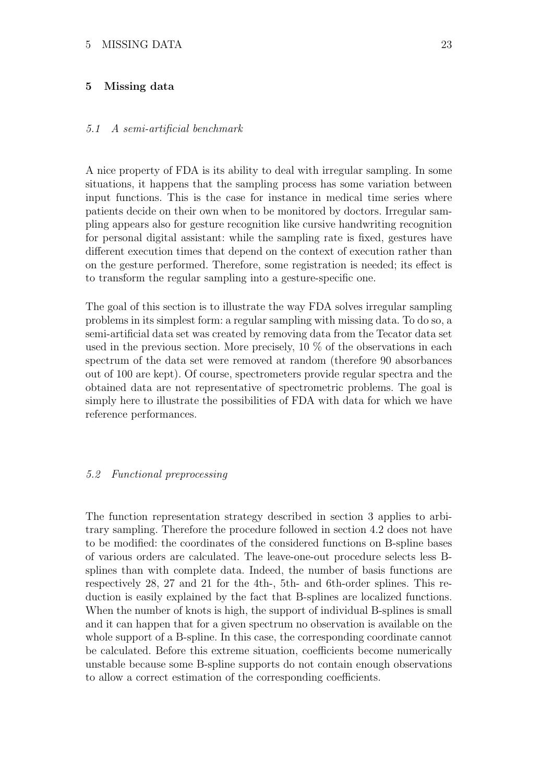# 5 Missing data

#### 5.1 A semi-artificial benchmark

A nice property of FDA is its ability to deal with irregular sampling. In some situations, it happens that the sampling process has some variation between input functions. This is the case for instance in medical time series where patients decide on their own when to be monitored by doctors. Irregular sampling appears also for gesture recognition like cursive handwriting recognition for personal digital assistant: while the sampling rate is fixed, gestures have different execution times that depend on the context of execution rather than on the gesture performed. Therefore, some registration is needed; its effect is to transform the regular sampling into a gesture-specific one.

The goal of this section is to illustrate the way FDA solves irregular sampling problems in its simplest form: a regular sampling with missing data. To do so, a semi-artificial data set was created by removing data from the Tecator data set used in the previous section. More precisely, 10 % of the observations in each spectrum of the data set were removed at random (therefore 90 absorbances out of 100 are kept). Of course, spectrometers provide regular spectra and the obtained data are not representative of spectrometric problems. The goal is simply here to illustrate the possibilities of FDA with data for which we have reference performances.

# 5.2 Functional preprocessing

The function representation strategy described in section 3 applies to arbitrary sampling. Therefore the procedure followed in section 4.2 does not have to be modified: the coordinates of the considered functions on B-spline bases of various orders are calculated. The leave-one-out procedure selects less Bsplines than with complete data. Indeed, the number of basis functions are respectively 28, 27 and 21 for the 4th-, 5th- and 6th-order splines. This reduction is easily explained by the fact that B-splines are localized functions. When the number of knots is high, the support of individual B-splines is small and it can happen that for a given spectrum no observation is available on the whole support of a B-spline. In this case, the corresponding coordinate cannot be calculated. Before this extreme situation, coefficients become numerically unstable because some B-spline supports do not contain enough observations to allow a correct estimation of the corresponding coefficients.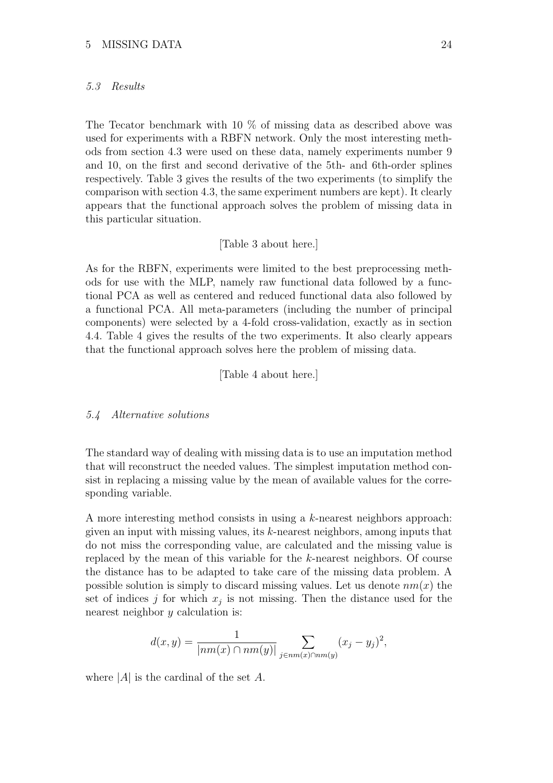#### 5 MISSING DATA 24

# 5.3 Results

The Tecator benchmark with 10 % of missing data as described above was used for experiments with a RBFN network. Only the most interesting methods from section 4.3 were used on these data, namely experiments number 9 and 10, on the first and second derivative of the 5th- and 6th-order splines respectively. Table 3 gives the results of the two experiments (to simplify the comparison with section 4.3, the same experiment numbers are kept). It clearly appears that the functional approach solves the problem of missing data in this particular situation.

## [Table 3 about here.]

As for the RBFN, experiments were limited to the best preprocessing methods for use with the MLP, namely raw functional data followed by a functional PCA as well as centered and reduced functional data also followed by a functional PCA. All meta-parameters (including the number of principal components) were selected by a 4-fold cross-validation, exactly as in section 4.4. Table 4 gives the results of the two experiments. It also clearly appears that the functional approach solves here the problem of missing data.

[Table 4 about here.]

#### 5.4 Alternative solutions

The standard way of dealing with missing data is to use an imputation method that will reconstruct the needed values. The simplest imputation method consist in replacing a missing value by the mean of available values for the corresponding variable.

A more interesting method consists in using a k-nearest neighbors approach: given an input with missing values, its k-nearest neighbors, among inputs that do not miss the corresponding value, are calculated and the missing value is replaced by the mean of this variable for the k-nearest neighbors. Of course the distance has to be adapted to take care of the missing data problem. A possible solution is simply to discard missing values. Let us denote  $nm(x)$  the set of indices j for which  $x_j$  is not missing. Then the distance used for the nearest neighbor y calculation is:

$$
d(x,y) = \frac{1}{|nm(x) \cap nm(y)|} \sum_{j \in nm(x) \cap nm(y)} (x_j - y_j)^2,
$$

where  $|A|$  is the cardinal of the set A.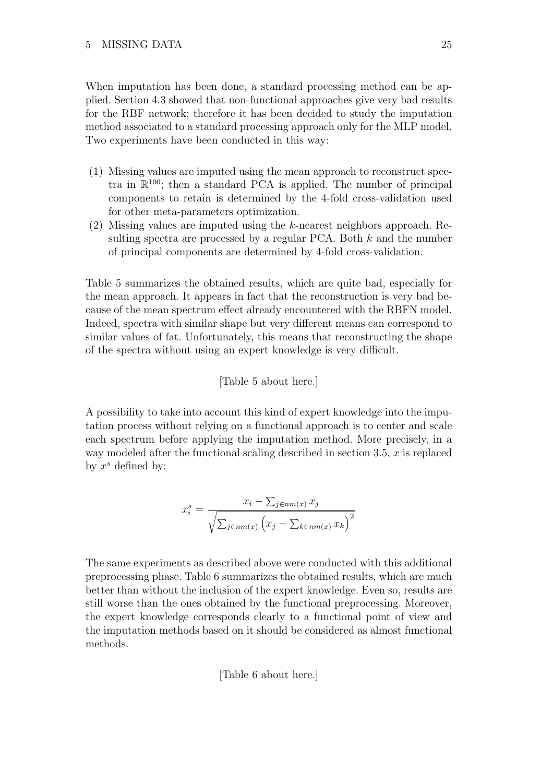#### 5 MISSING DATA 25

When imputation has been done, a standard processing method can be applied. Section 4.3 showed that non-functional approaches give very bad results for the RBF network; therefore it has been decided to study the imputation method associated to a standard processing approach only for the MLP model. Two experiments have been conducted in this way:

- (1) Missing values are imputed using the mean approach to reconstruct spectra in  $\mathbb{R}^{100}$ ; then a standard PCA is applied. The number of principal components to retain is determined by the 4-fold cross-validation used for other meta-parameters optimization.
- (2) Missing values are imputed using the k-nearest neighbors approach. Resulting spectra are processed by a regular PCA. Both  $k$  and the number of principal components are determined by 4-fold cross-validation.

Table 5 summarizes the obtained results, which are quite bad, especially for the mean approach. It appears in fact that the reconstruction is very bad because of the mean spectrum effect already encountered with the RBFN model. Indeed, spectra with similar shape but very different means can correspond to similar values of fat. Unfortunately, this means that reconstructing the shape of the spectra without using an expert knowledge is very difficult.

# [Table 5 about here.]

A possibility to take into account this kind of expert knowledge into the imputation process without relying on a functional approach is to center and scale each spectrum before applying the imputation method. More precisely, in a way modeled after the functional scaling described in section 3.5,  $x$  is replaced by  $x^s$  defined by:

$$
x_i^s = \frac{x_i - \sum_{j \in nm(x)} x_j}{\sqrt{\sum_{j \in nm(x)} (x_j - \sum_{k \in nm(x)} x_k)^2}}
$$

The same experiments as described above were conducted with this additional preprocessing phase. Table 6 summarizes the obtained results, which are much better than without the inclusion of the expert knowledge. Even so, results are still worse than the ones obtained by the functional preprocessing. Moreover, the expert knowledge corresponds clearly to a functional point of view and the imputation methods based on it should be considered as almost functional methods.

[Table 6 about here.]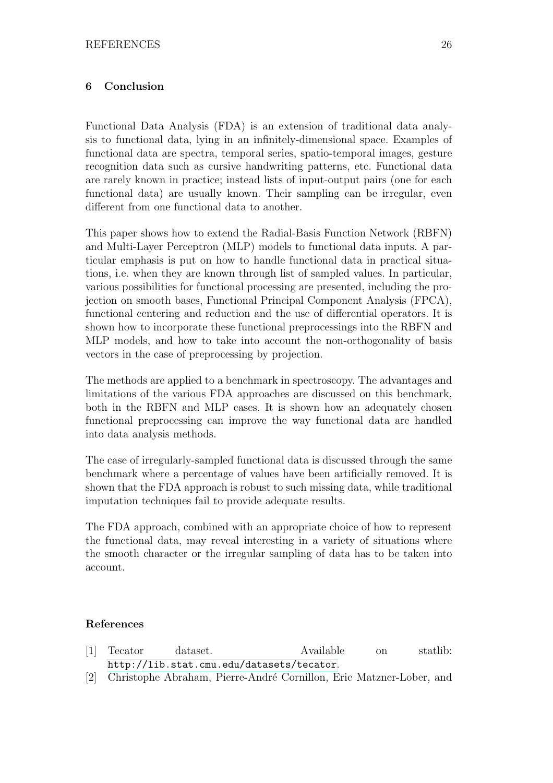# 6 Conclusion

Functional Data Analysis (FDA) is an extension of traditional data analysis to functional data, lying in an infinitely-dimensional space. Examples of functional data are spectra, temporal series, spatio-temporal images, gesture recognition data such as cursive handwriting patterns, etc. Functional data are rarely known in practice; instead lists of input-output pairs (one for each functional data) are usually known. Their sampling can be irregular, even different from one functional data to another.

This paper shows how to extend the Radial-Basis Function Network (RBFN) and Multi-Layer Perceptron (MLP) models to functional data inputs. A particular emphasis is put on how to handle functional data in practical situations, i.e. when they are known through list of sampled values. In particular, various possibilities for functional processing are presented, including the projection on smooth bases, Functional Principal Component Analysis (FPCA), functional centering and reduction and the use of differential operators. It is shown how to incorporate these functional preprocessings into the RBFN and MLP models, and how to take into account the non-orthogonality of basis vectors in the case of preprocessing by projection.

The methods are applied to a benchmark in spectroscopy. The advantages and limitations of the various FDA approaches are discussed on this benchmark, both in the RBFN and MLP cases. It is shown how an adequately chosen functional preprocessing can improve the way functional data are handled into data analysis methods.

The case of irregularly-sampled functional data is discussed through the same benchmark where a percentage of values have been artificially removed. It is shown that the FDA approach is robust to such missing data, while traditional imputation techniques fail to provide adequate results.

The FDA approach, combined with an appropriate choice of how to represent the functional data, may reveal interesting in a variety of situations where the smooth character or the irregular sampling of data has to be taken into account.

# References

<span id="page-25-1"></span>

|                     | [1] Tecator | dataset.                                  |  | Available | <sub>on</sub> | statlib: |  |
|---------------------|-------------|-------------------------------------------|--|-----------|---------------|----------|--|
|                     |             | http://lib.stat.cmu.edu/datasets/tecator. |  |           |               |          |  |
| <b>F</b> = <b>1</b> |             |                                           |  |           |               |          |  |

<span id="page-25-0"></span>[2] Christophe Abraham, Pierre-André Cornillon, Eric Matzner-Lober, and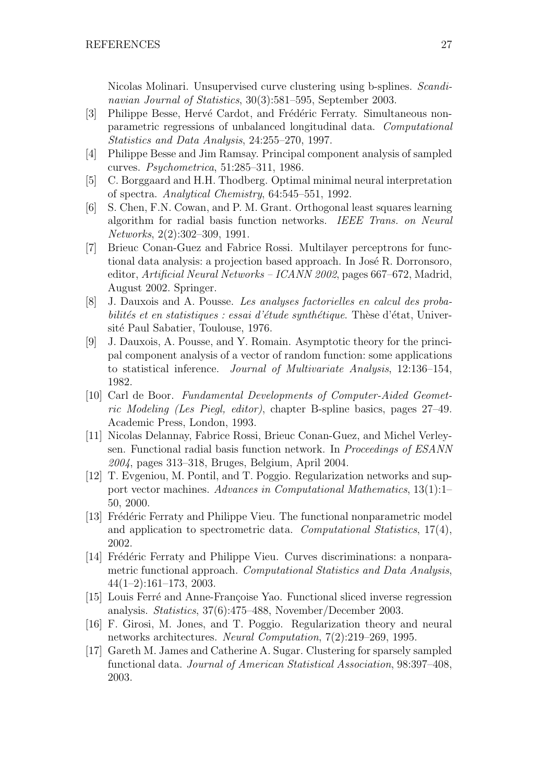Nicolas Molinari. Unsupervised curve clustering using b-splines. Scandinavian Journal of Statistics, 30(3):581–595, September 2003.

- <span id="page-26-0"></span>[3] Philippe Besse, Hervé Cardot, and Frédéric Ferraty. Simultaneous nonparametric regressions of unbalanced longitudinal data. Computational Statistics and Data Analysis, 24:255–270, 1997.
- <span id="page-26-12"></span>[4] Philippe Besse and Jim Ramsay. Principal component analysis of sampled curves. Psychometrica, 51:285–311, 1986.
- <span id="page-26-14"></span>[5] C. Borggaard and H.H. Thodberg. Optimal minimal neural interpretation of spectra. Analytical Chemistry, 64:545–551, 1992.
- <span id="page-26-13"></span>[6] S. Chen, F.N. Cowan, and P. M. Grant. Orthogonal least squares learning algorithm for radial basis function networks. IEEE Trans. on Neural Networks, 2(2):302–309, 1991.
- <span id="page-26-8"></span>[7] Brieuc Conan-Guez and Fabrice Rossi. Multilayer perceptrons for functional data analysis: a projection based approach. In José R. Dorronsoro, editor, Artificial Neural Networks – ICANN 2002, pages 667–672, Madrid, August 2002. Springer.
- <span id="page-26-10"></span>[8] J. Dauxois and A. Pousse. Les analyses factorielles en calcul des probabilités et en statistiques : essai d'étude synthétique. Thèse d'état, Université Paul Sabatier, Toulouse, 1976.
- <span id="page-26-11"></span>[9] J. Dauxois, A. Pousse, and Y. Romain. Asymptotic theory for the principal component analysis of a vector of random function: some applications to statistical inference. Journal of Multivariate Analysis, 12:136–154, 1982.
- <span id="page-26-9"></span>[10] Carl de Boor. Fundamental Developments of Computer-Aided Geometric Modeling (Les Piegl, editor), chapter B-spline basics, pages 27–49. Academic Press, London, 1993.
- <span id="page-26-4"></span>[11] Nicolas Delannay, Fabrice Rossi, Brieuc Conan-Guez, and Michel Verleysen. Functional radial basis function network. In Proceedings of ESANN 2004, pages 313–318, Bruges, Belgium, April 2004.
- <span id="page-26-7"></span>[12] T. Evgeniou, M. Pontil, and T. Poggio. Regularization networks and support vector machines. Advances in Computational Mathematics, 13(1):1– 50, 2000.
- <span id="page-26-2"></span>[13] Frédéric Ferraty and Philippe Vieu. The functional nonparametric model and application to spectrometric data. Computational Statistics, 17(4), 2002.
- <span id="page-26-3"></span>[14] Frédéric Ferraty and Philippe Vieu. Curves discriminations: a nonparametric functional approach. Computational Statistics and Data Analysis, 44(1–2):161–173, 2003.
- <span id="page-26-1"></span>[15] Louis Ferré and Anne-Françoise Yao. Functional sliced inverse regression analysis. Statistics, 37(6):475–488, November/December 2003.
- <span id="page-26-6"></span>[16] F. Girosi, M. Jones, and T. Poggio. Regularization theory and neural networks architectures. Neural Computation, 7(2):219–269, 1995.
- <span id="page-26-5"></span>[17] Gareth M. James and Catherine A. Sugar. Clustering for sparsely sampled functional data. Journal of American Statistical Association, 98:397–408, 2003.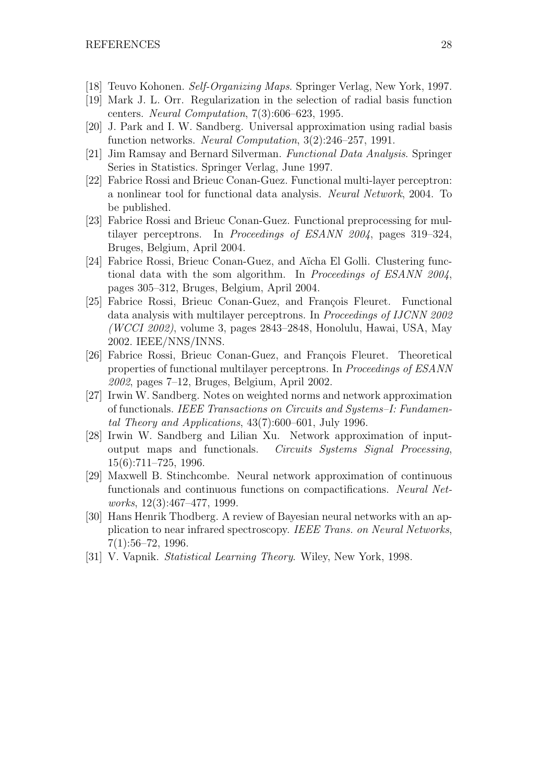- <span id="page-27-4"></span>[18] Teuvo Kohonen. Self-Organizing Maps. Springer Verlag, New York, 1997.
- <span id="page-27-12"></span>[19] Mark J. L. Orr. Regularization in the selection of radial basis function centers. Neural Computation, 7(3):606–623, 1995.
- <span id="page-27-7"></span>[20] J. Park and I. W. Sandberg. Universal approximation using radial basis function networks. Neural Computation, 3(2):246–257, 1991.
- <span id="page-27-0"></span>[21] Jim Ramsay and Bernard Silverman. Functional Data Analysis. Springer Series in Statistics. Springer Verlag, June 1997.
- <span id="page-27-11"></span>[22] Fabrice Rossi and Brieuc Conan-Guez. Functional multi-layer perceptron: a nonlinear tool for functional data analysis. Neural Network, 2004. To be published.
- <span id="page-27-3"></span>[23] Fabrice Rossi and Brieuc Conan-Guez. Functional preprocessing for multilayer perceptrons. In Proceedings of ESANN 2004, pages 319–324, Bruges, Belgium, April 2004.
- <span id="page-27-5"></span>[24] Fabrice Rossi, Brieuc Conan-Guez, and Aïcha El Golli. Clustering functional data with the som algorithm. In Proceedings of ESANN 2004, pages 305–312, Bruges, Belgium, April 2004.
- <span id="page-27-2"></span>[25] Fabrice Rossi, Brieuc Conan-Guez, and François Fleuret. Functional data analysis with multilayer perceptrons. In Proceedings of IJCNN 2002 (WCCI 2002), volume 3, pages 2843–2848, Honolulu, Hawai, USA, May 2002. IEEE/NNS/INNS.
- <span id="page-27-1"></span>[26] Fabrice Rossi, Brieuc Conan-Guez, and François Fleuret. Theoretical properties of functional multilayer perceptrons. In Proceedings of ESANN 2002, pages 7–12, Bruges, Belgium, April 2002.
- <span id="page-27-8"></span>[27] Irwin W. Sandberg. Notes on weighted norms and network approximation of functionals. IEEE Transactions on Circuits and Systems–I: Fundamental Theory and Applications, 43(7):600–601, July 1996.
- <span id="page-27-9"></span>[28] Irwin W. Sandberg and Lilian Xu. Network approximation of inputoutput maps and functionals. Circuits Systems Signal Processing, 15(6):711–725, 1996.
- <span id="page-27-10"></span>[29] Maxwell B. Stinchcombe. Neural network approximation of continuous functionals and continuous functions on compactifications. Neural Networks, 12(3):467–477, 1999.
- <span id="page-27-13"></span>[30] Hans Henrik Thodberg. A review of Bayesian neural networks with an application to near infrared spectroscopy. IEEE Trans. on Neural Networks, 7(1):56–72, 1996.
- <span id="page-27-6"></span>[31] V. Vapnik. *Statistical Learning Theory*. Wiley, New York, 1998.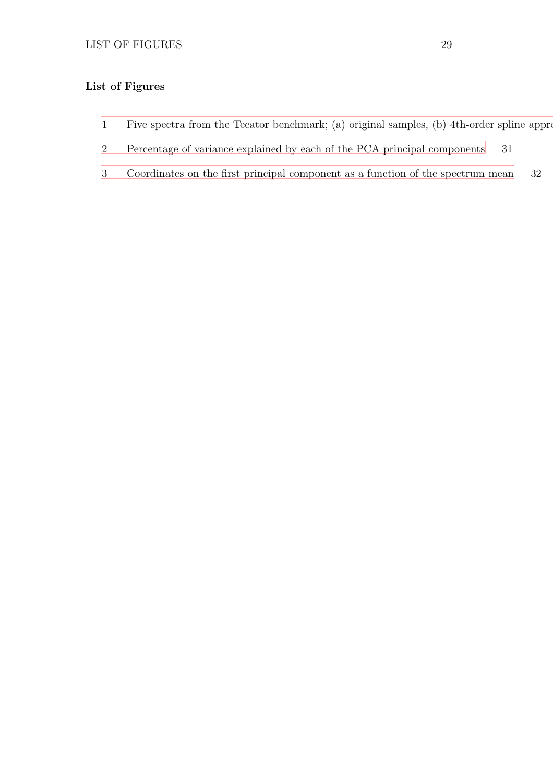# List of Figures

- [1 Five spectra from the Tecator benchmark; \(a\) original samples, \(b\) 4th-order spline appro](#page-29-0)
- [2 Percentage of variance explained by each of the PCA principal components](#page-30-0) 31
- [3 Coordinates on the first principal component as a function of](#page-31-0) the spectrum mean 32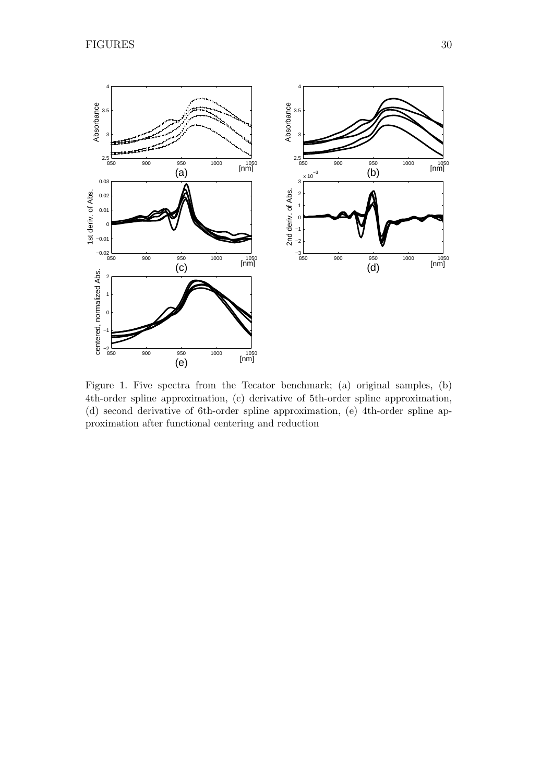

<span id="page-29-0"></span>Figure 1. Five spectra from the Tecator benchmark; (a) original samples, (b) 4th-order spline approximation, (c) derivative of 5th-order spline approximation, (d) second derivative of 6th-order spline approximation, (e) 4th-order spline approximation after functional centering and reduction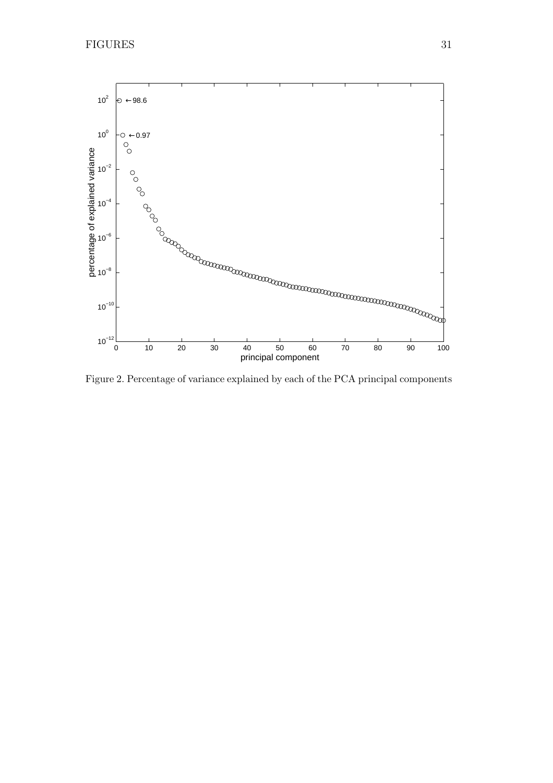

<span id="page-30-0"></span>Figure 2. Percentage of variance explained by each of the PCA principal components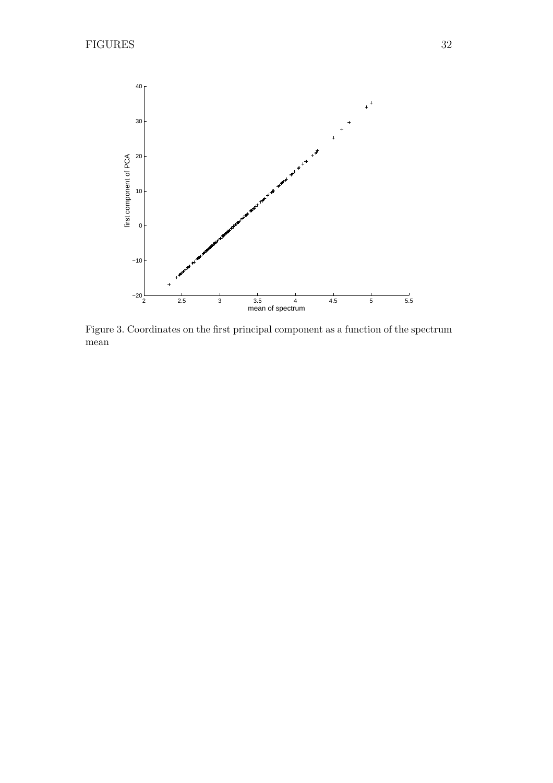

<span id="page-31-0"></span>Figure 3. Coordinates on the first principal component as a function of the spectrum mean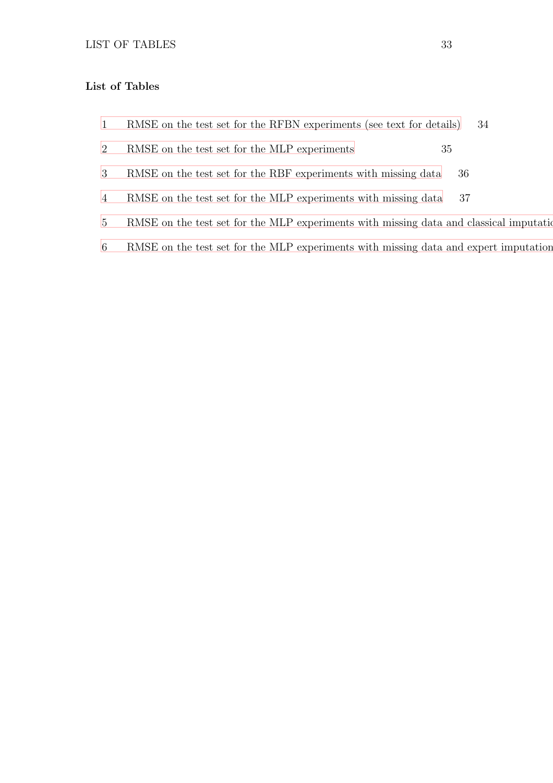# List of Tables

|                | RMSE on the test set for the RFBN experiments (see text for details)<br>34              |
|----------------|-----------------------------------------------------------------------------------------|
| $\overline{2}$ | RMSE on the test set for the MLP experiments<br>35                                      |
| 3              | RMSE on the test set for the RBF experiments with missing data<br>36                    |
| $\overline{4}$ | RMSE on the test set for the MLP experiments with missing data<br>37                    |
| 5 <sup>5</sup> | RMSE on the test set for the MLP experiments with missing data and classical imputation |
| 6              | RMSE on the test set for the MLP experiments with missing data and expert imputation    |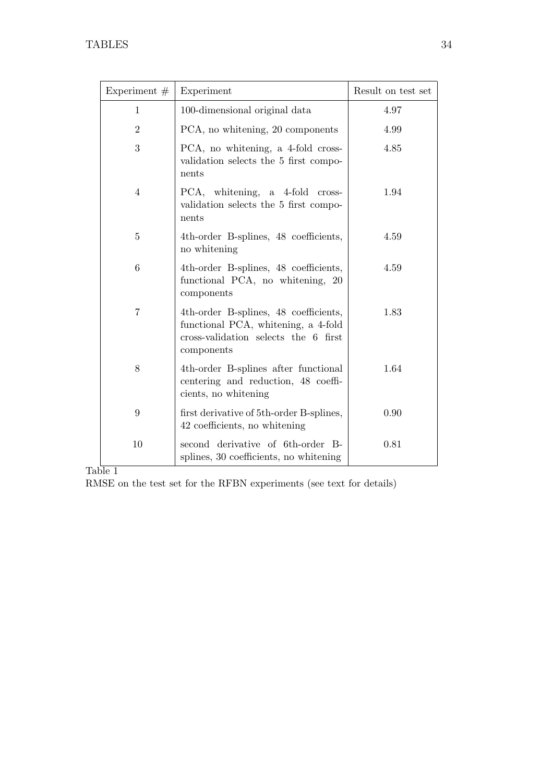| Experiment $#$ | Experiment                                                                                                                         | Result on test set |
|----------------|------------------------------------------------------------------------------------------------------------------------------------|--------------------|
| 1              | 100-dimensional original data                                                                                                      | 4.97               |
| $\overline{2}$ | PCA, no whitening, 20 components                                                                                                   | 4.99               |
| 3              | PCA, no whitening, a 4-fold cross-<br>validation selects the 5 first compo-<br>nents                                               | 4.85               |
| 4              | PCA, whitening, a 4-fold cross-<br>validation selects the 5 first compo-<br>nents                                                  | 1.94               |
| 5              | 4th-order B-splines, 48 coefficients,<br>no whitening                                                                              | 4.59               |
| 6              | 4th-order B-splines, 48 coefficients,<br>functional PCA, no whitening, 20<br>components                                            | $4.59\,$           |
| 7              | 4th-order B-splines, 48 coefficients,<br>functional PCA, whitening, a 4-fold<br>cross-validation selects the 6 first<br>components | 1.83               |
| 8              | 4th-order B-splines after functional<br>centering and reduction, 48 coeffi-<br>cients, no whitening                                | 1.64               |
| 9              | first derivative of 5th-order B-splines,<br>42 coefficients, no whitening                                                          | 0.90               |
| 10             | second derivative of 6th-order B-<br>splines, 30 coefficients, no whitening                                                        | 0.81               |

<span id="page-33-0"></span>RMSE on the test set for the RFBN experiments (see text for details)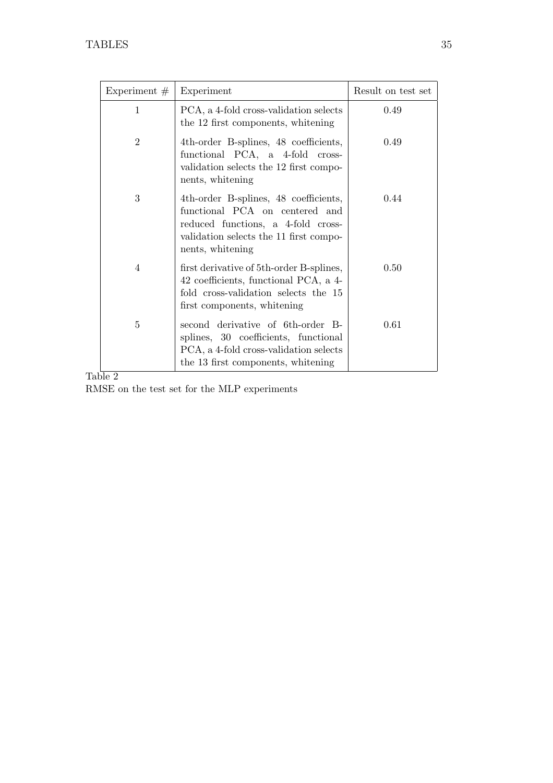| Experiment $#$ | Experiment                                                                                                                                                                  | Result on test set |
|----------------|-----------------------------------------------------------------------------------------------------------------------------------------------------------------------------|--------------------|
| 1              | PCA, a 4-fold cross-validation selects<br>the 12 first components, whitening                                                                                                | 0.49               |
| $\overline{2}$ | 4th-order B-splines, 48 coefficients,<br>functional PCA, a 4-fold cross-<br>validation selects the 12 first compo-<br>nents, whitening                                      | 0.49               |
| 3              | 4th-order B-splines, 48 coefficients,<br>functional PCA on centered and<br>reduced functions, a 4-fold cross-<br>validation selects the 11 first compo-<br>nents, whitening | 0.44               |
| 4              | first derivative of 5th-order B-splines,<br>42 coefficients, functional PCA, a 4-<br>fold cross-validation selects the 15<br>first components, whitening                    | 0.50               |
| 5              | second derivative of 6th-order B-<br>splines, 30 coefficients, functional<br>PCA, a 4-fold cross-validation selects<br>the 13 first components, whitening                   | 0.61               |

<span id="page-34-0"></span>RMSE on the test set for the MLP experiments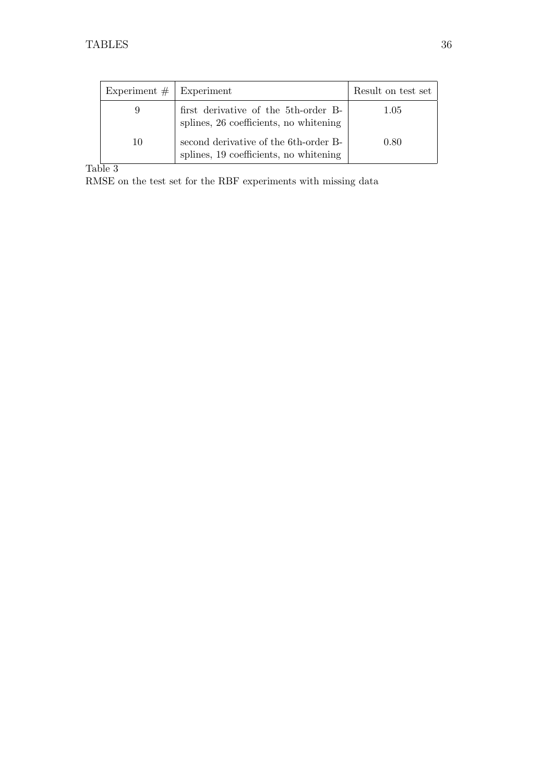| Experiment $#$ Experiment |                                                                                 | Result on test set |
|---------------------------|---------------------------------------------------------------------------------|--------------------|
| 9                         | first derivative of the 5th-order B-<br>splines, 26 coefficients, no whitening  | 1.05               |
| 10                        | second derivative of the 6th-order B-<br>splines, 19 coefficients, no whitening | 0.80               |

<span id="page-35-0"></span>RMSE on the test set for the RBF experiments with missing data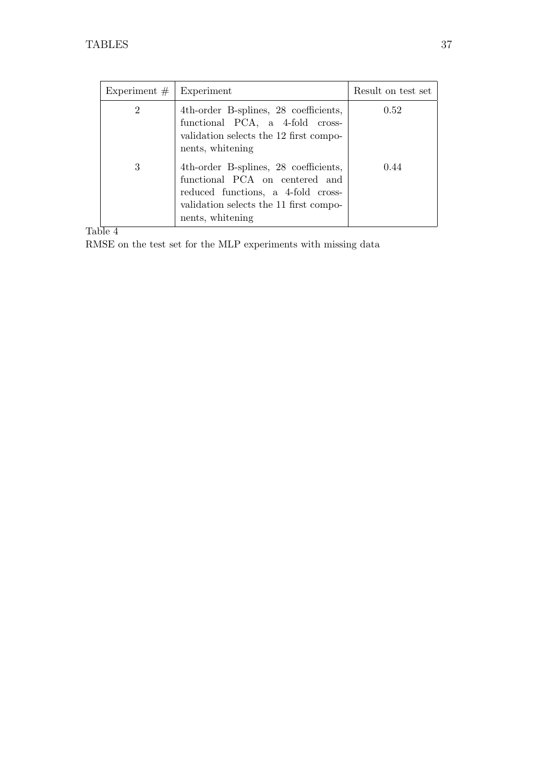| Experiment $#$ | <b>Experiment</b>                                                                                                                                                           | Result on test set |
|----------------|-----------------------------------------------------------------------------------------------------------------------------------------------------------------------------|--------------------|
| 2              | 4th-order B-splines, 28 coefficients,<br>functional PCA, a 4-fold cross-<br>validation selects the 12 first compo-<br>nents, whitening                                      | 0.52               |
| 3              | 4th-order B-splines, 28 coefficients,<br>functional PCA on centered and<br>reduced functions, a 4-fold cross-<br>validation selects the 11 first compo-<br>nents, whitening | 0.44               |

<span id="page-36-0"></span>RMSE on the test set for the MLP experiments with missing data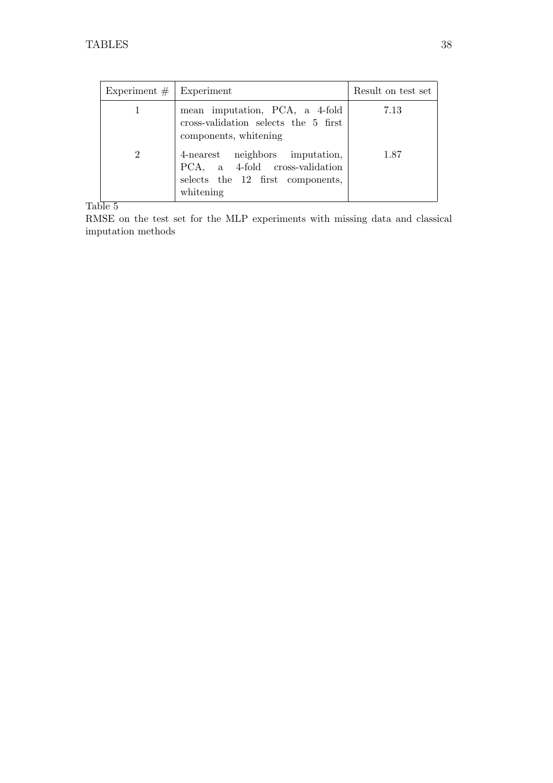| Experiment $#$ Experiment |                                                                                                                    | Result on test set |
|---------------------------|--------------------------------------------------------------------------------------------------------------------|--------------------|
|                           | mean imputation, PCA, a 4-fold<br>cross-validation selects the 5 first<br>components, whitening                    | 7.13               |
| $\overline{2}$            | 4-nearest neighbors imputation,<br>PCA, a 4-fold cross-validation<br>selects the 12 first components,<br>whitening | 1.87               |

<span id="page-37-0"></span>RMSE on the test set for the MLP experiments with missing data and classical imputation methods